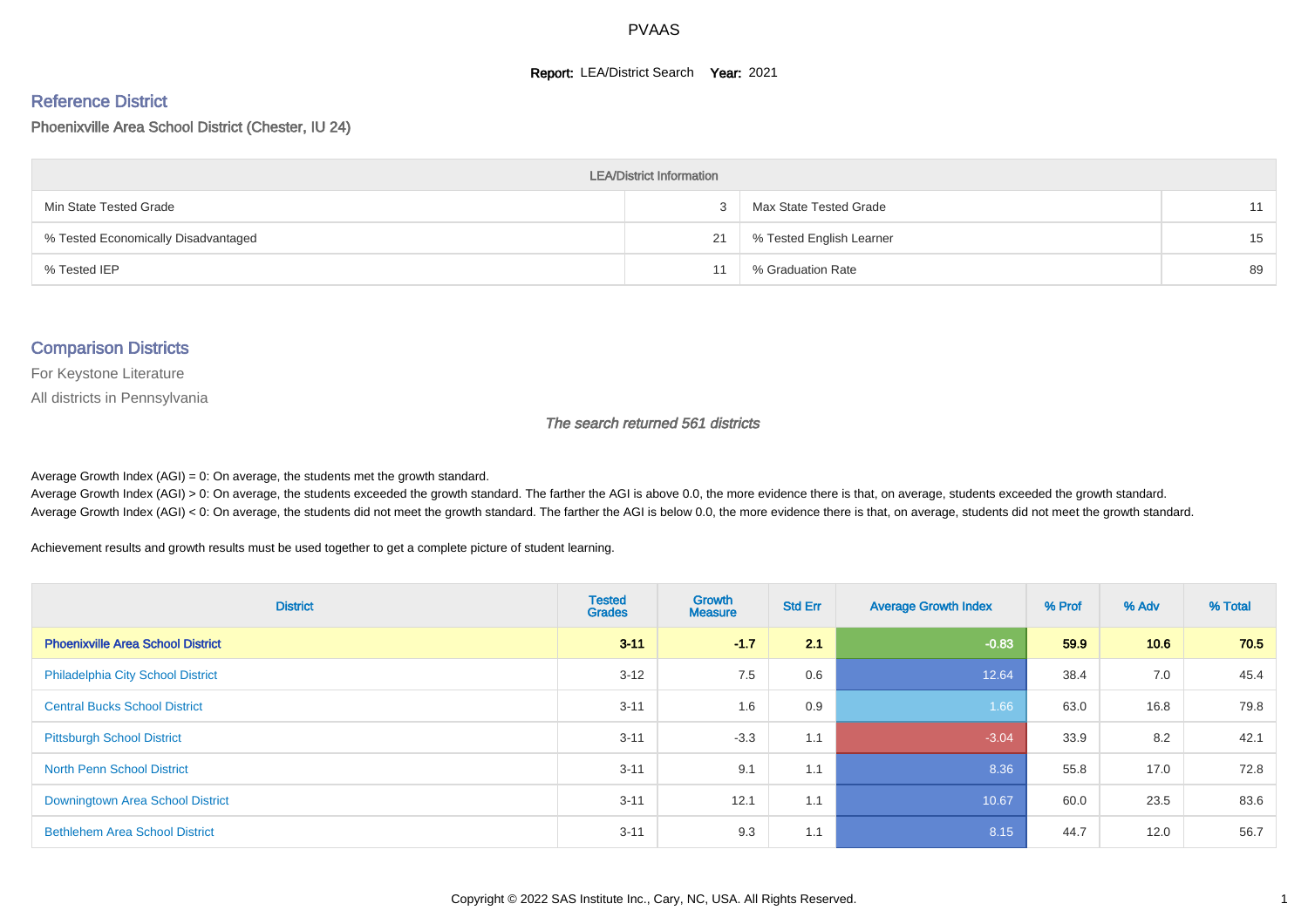#### **Report: LEA/District Search Year: 2021**

#### Reference District

Phoenixville Area School District (Chester, IU 24)

| <b>LEA/District Information</b>     |    |                          |    |  |  |  |  |  |  |  |
|-------------------------------------|----|--------------------------|----|--|--|--|--|--|--|--|
| Min State Tested Grade              |    | Max State Tested Grade   | 11 |  |  |  |  |  |  |  |
| % Tested Economically Disadvantaged | 21 | % Tested English Learner | 15 |  |  |  |  |  |  |  |
| % Tested IEP                        |    | % Graduation Rate        | 89 |  |  |  |  |  |  |  |

#### Comparison Districts

For Keystone Literature

All districts in Pennsylvania

The search returned 561 districts

Average Growth Index  $(AGI) = 0$ : On average, the students met the growth standard.

Average Growth Index (AGI) > 0: On average, the students exceeded the growth standard. The farther the AGI is above 0.0, the more evidence there is that, on average, students exceeded the growth standard. Average Growth Index (AGI) < 0: On average, the students did not meet the growth standard. The farther the AGI is below 0.0, the more evidence there is that, on average, students did not meet the growth standard.

Achievement results and growth results must be used together to get a complete picture of student learning.

| <b>District</b>                          | <b>Tested</b><br><b>Grades</b> | <b>Growth</b><br><b>Measure</b> | <b>Std Err</b> | <b>Average Growth Index</b> | % Prof | % Adv | % Total |
|------------------------------------------|--------------------------------|---------------------------------|----------------|-----------------------------|--------|-------|---------|
| <b>Phoenixville Area School District</b> | $3 - 11$                       | $-1.7$                          | 2.1            | $-0.83$                     | 59.9   | 10.6  | 70.5    |
| <b>Philadelphia City School District</b> | $3 - 12$                       | 7.5                             | 0.6            | 12.64                       | 38.4   | 7.0   | 45.4    |
| <b>Central Bucks School District</b>     | $3 - 11$                       | 1.6                             | 0.9            | 1.66                        | 63.0   | 16.8  | 79.8    |
| <b>Pittsburgh School District</b>        | $3 - 11$                       | $-3.3$                          | 1.1            | $-3.04$                     | 33.9   | 8.2   | 42.1    |
| <b>North Penn School District</b>        | $3 - 11$                       | 9.1                             | 1.1            | 8.36                        | 55.8   | 17.0  | 72.8    |
| Downingtown Area School District         | $3 - 11$                       | 12.1                            | 1.1            | 10.67                       | 60.0   | 23.5  | 83.6    |
| <b>Bethlehem Area School District</b>    | $3 - 11$                       | 9.3                             | 1.1            | 8.15                        | 44.7   | 12.0  | 56.7    |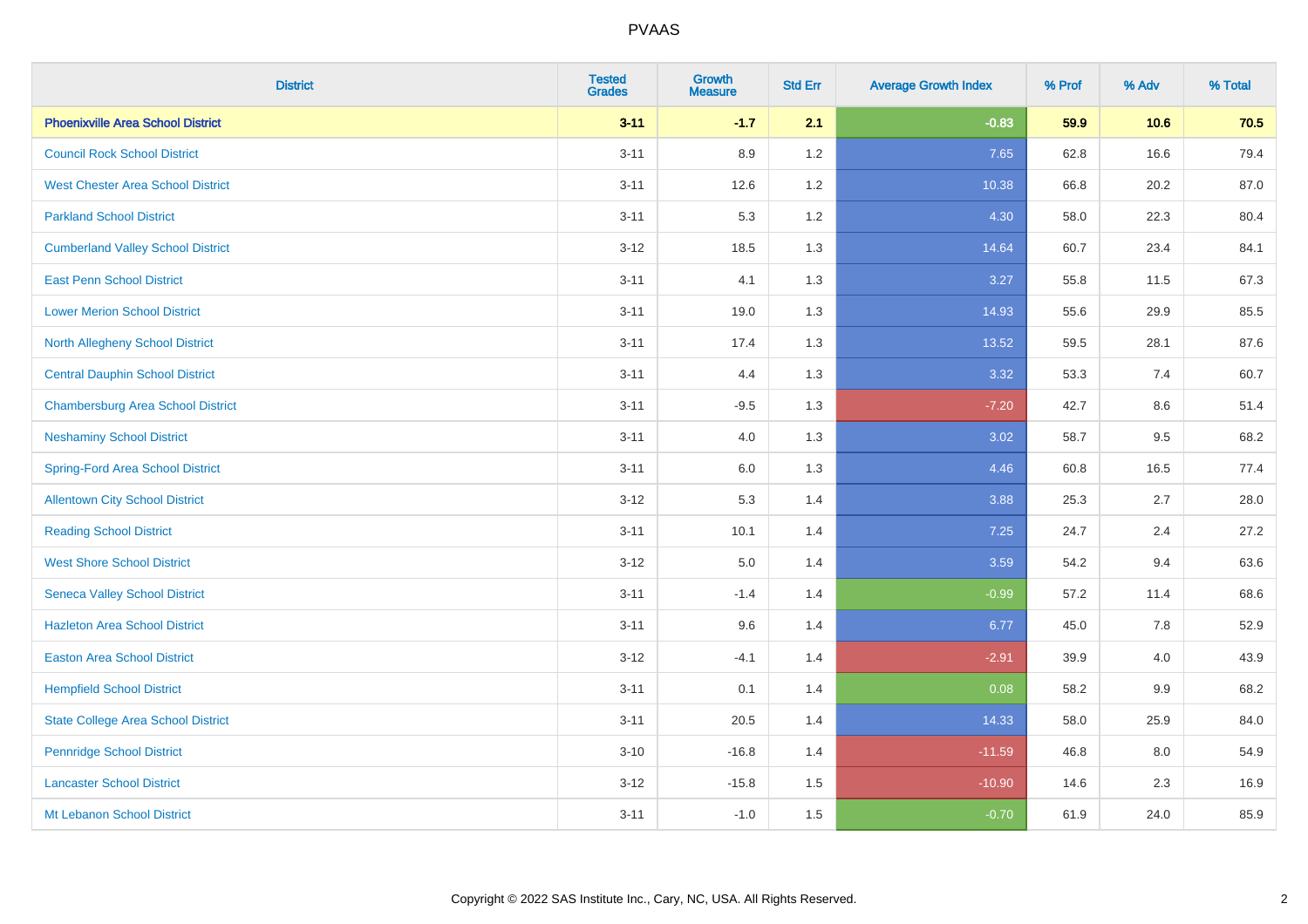| <b>District</b>                           | <b>Tested</b><br><b>Grades</b> | <b>Growth</b><br><b>Measure</b> | <b>Std Err</b> | <b>Average Growth Index</b> | % Prof | % Adv | % Total |
|-------------------------------------------|--------------------------------|---------------------------------|----------------|-----------------------------|--------|-------|---------|
| <b>Phoenixville Area School District</b>  | $3 - 11$                       | $-1.7$                          | 2.1            | $-0.83$                     | 59.9   | 10.6  | 70.5    |
| <b>Council Rock School District</b>       | $3 - 11$                       | 8.9                             | 1.2            | 7.65                        | 62.8   | 16.6  | 79.4    |
| <b>West Chester Area School District</b>  | $3 - 11$                       | 12.6                            | 1.2            | 10.38                       | 66.8   | 20.2  | 87.0    |
| <b>Parkland School District</b>           | $3 - 11$                       | 5.3                             | 1.2            | 4.30                        | 58.0   | 22.3  | 80.4    |
| <b>Cumberland Valley School District</b>  | $3-12$                         | 18.5                            | 1.3            | 14.64                       | 60.7   | 23.4  | 84.1    |
| <b>East Penn School District</b>          | $3 - 11$                       | 4.1                             | 1.3            | 3.27                        | 55.8   | 11.5  | 67.3    |
| <b>Lower Merion School District</b>       | $3 - 11$                       | 19.0                            | 1.3            | 14.93                       | 55.6   | 29.9  | 85.5    |
| <b>North Allegheny School District</b>    | $3 - 11$                       | 17.4                            | 1.3            | 13.52                       | 59.5   | 28.1  | 87.6    |
| <b>Central Dauphin School District</b>    | $3 - 11$                       | 4.4                             | 1.3            | 3.32                        | 53.3   | 7.4   | 60.7    |
| <b>Chambersburg Area School District</b>  | $3 - 11$                       | $-9.5$                          | 1.3            | $-7.20$                     | 42.7   | 8.6   | 51.4    |
| <b>Neshaminy School District</b>          | $3 - 11$                       | 4.0                             | 1.3            | 3.02                        | 58.7   | 9.5   | 68.2    |
| <b>Spring-Ford Area School District</b>   | $3 - 11$                       | 6.0                             | 1.3            | 4.46                        | 60.8   | 16.5  | 77.4    |
| <b>Allentown City School District</b>     | $3 - 12$                       | 5.3                             | 1.4            | 3.88                        | 25.3   | 2.7   | 28.0    |
| <b>Reading School District</b>            | $3 - 11$                       | 10.1                            | 1.4            | 7.25                        | 24.7   | 2.4   | 27.2    |
| <b>West Shore School District</b>         | $3 - 12$                       | $5.0\,$                         | 1.4            | 3.59                        | 54.2   | 9.4   | 63.6    |
| <b>Seneca Valley School District</b>      | $3 - 11$                       | $-1.4$                          | 1.4            | $-0.99$                     | 57.2   | 11.4  | 68.6    |
| <b>Hazleton Area School District</b>      | $3 - 11$                       | 9.6                             | 1.4            | 6.77                        | 45.0   | 7.8   | 52.9    |
| <b>Easton Area School District</b>        | $3 - 12$                       | $-4.1$                          | 1.4            | $-2.91$                     | 39.9   | 4.0   | 43.9    |
| <b>Hempfield School District</b>          | $3 - 11$                       | 0.1                             | 1.4            | 0.08                        | 58.2   | 9.9   | 68.2    |
| <b>State College Area School District</b> | $3 - 11$                       | 20.5                            | 1.4            | 14.33                       | 58.0   | 25.9  | 84.0    |
| <b>Pennridge School District</b>          | $3 - 10$                       | $-16.8$                         | 1.4            | $-11.59$                    | 46.8   | 8.0   | 54.9    |
| <b>Lancaster School District</b>          | $3 - 12$                       | $-15.8$                         | 1.5            | $-10.90$                    | 14.6   | 2.3   | 16.9    |
| Mt Lebanon School District                | $3 - 11$                       | $-1.0$                          | 1.5            | $-0.70$                     | 61.9   | 24.0  | 85.9    |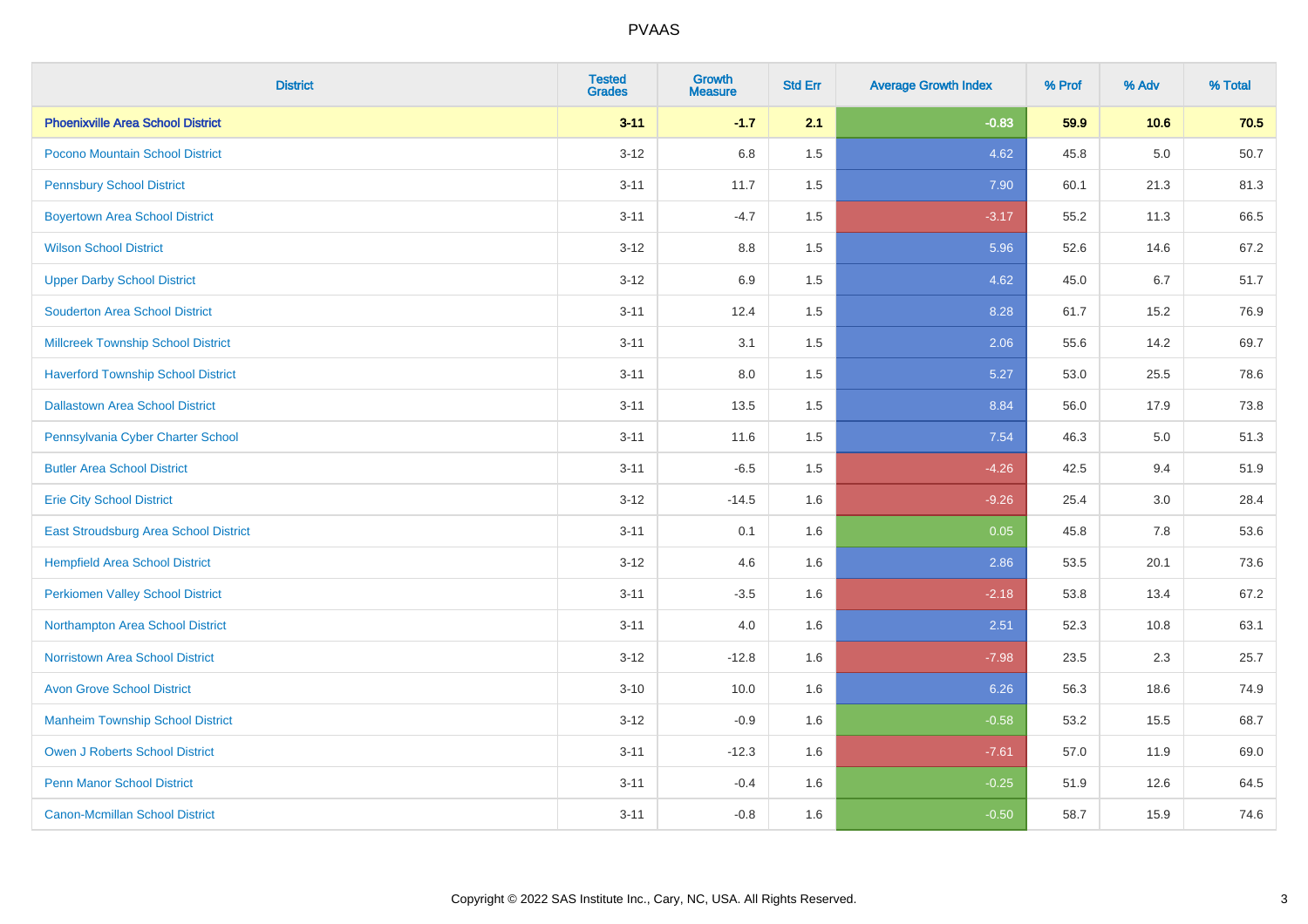| <b>District</b>                           | <b>Tested</b><br><b>Grades</b> | <b>Growth</b><br><b>Measure</b> | <b>Std Err</b> | <b>Average Growth Index</b> | % Prof | % Adv   | % Total |
|-------------------------------------------|--------------------------------|---------------------------------|----------------|-----------------------------|--------|---------|---------|
| <b>Phoenixville Area School District</b>  | $3 - 11$                       | $-1.7$                          | 2.1            | $-0.83$                     | 59.9   | 10.6    | 70.5    |
| Pocono Mountain School District           | $3 - 12$                       | 6.8                             | 1.5            | 4.62                        | 45.8   | $5.0\,$ | 50.7    |
| <b>Pennsbury School District</b>          | $3 - 11$                       | 11.7                            | 1.5            | 7.90                        | 60.1   | 21.3    | 81.3    |
| <b>Boyertown Area School District</b>     | $3 - 11$                       | $-4.7$                          | 1.5            | $-3.17$                     | 55.2   | 11.3    | 66.5    |
| <b>Wilson School District</b>             | $3 - 12$                       | 8.8                             | 1.5            | 5.96                        | 52.6   | 14.6    | 67.2    |
| <b>Upper Darby School District</b>        | $3 - 12$                       | 6.9                             | 1.5            | 4.62                        | 45.0   | 6.7     | 51.7    |
| <b>Souderton Area School District</b>     | $3 - 11$                       | 12.4                            | 1.5            | 8.28                        | 61.7   | 15.2    | 76.9    |
| <b>Millcreek Township School District</b> | $3 - 11$                       | 3.1                             | 1.5            | 2.06                        | 55.6   | 14.2    | 69.7    |
| <b>Haverford Township School District</b> | $3 - 11$                       | 8.0                             | 1.5            | 5.27                        | 53.0   | 25.5    | 78.6    |
| <b>Dallastown Area School District</b>    | $3 - 11$                       | 13.5                            | 1.5            | 8.84                        | 56.0   | 17.9    | 73.8    |
| Pennsylvania Cyber Charter School         | $3 - 11$                       | 11.6                            | 1.5            | 7.54                        | 46.3   | 5.0     | 51.3    |
| <b>Butler Area School District</b>        | $3 - 11$                       | $-6.5$                          | 1.5            | $-4.26$                     | 42.5   | 9.4     | 51.9    |
| <b>Erie City School District</b>          | $3 - 12$                       | $-14.5$                         | 1.6            | $-9.26$                     | 25.4   | 3.0     | 28.4    |
| East Stroudsburg Area School District     | $3 - 11$                       | 0.1                             | 1.6            | 0.05                        | 45.8   | 7.8     | 53.6    |
| <b>Hempfield Area School District</b>     | $3 - 12$                       | 4.6                             | 1.6            | 2.86                        | 53.5   | 20.1    | 73.6    |
| <b>Perkiomen Valley School District</b>   | $3 - 11$                       | $-3.5$                          | 1.6            | $-2.18$                     | 53.8   | 13.4    | 67.2    |
| Northampton Area School District          | $3 - 11$                       | 4.0                             | 1.6            | 2.51                        | 52.3   | 10.8    | 63.1    |
| <b>Norristown Area School District</b>    | $3 - 12$                       | $-12.8$                         | 1.6            | $-7.98$                     | 23.5   | 2.3     | 25.7    |
| <b>Avon Grove School District</b>         | $3 - 10$                       | 10.0                            | 1.6            | 6.26                        | 56.3   | 18.6    | 74.9    |
| <b>Manheim Township School District</b>   | $3 - 12$                       | $-0.9$                          | 1.6            | $-0.58$                     | 53.2   | 15.5    | 68.7    |
| <b>Owen J Roberts School District</b>     | $3 - 11$                       | $-12.3$                         | 1.6            | $-7.61$                     | 57.0   | 11.9    | 69.0    |
| <b>Penn Manor School District</b>         | $3 - 11$                       | $-0.4$                          | 1.6            | $-0.25$                     | 51.9   | 12.6    | 64.5    |
| <b>Canon-Mcmillan School District</b>     | $3 - 11$                       | $-0.8$                          | 1.6            | $-0.50$                     | 58.7   | 15.9    | 74.6    |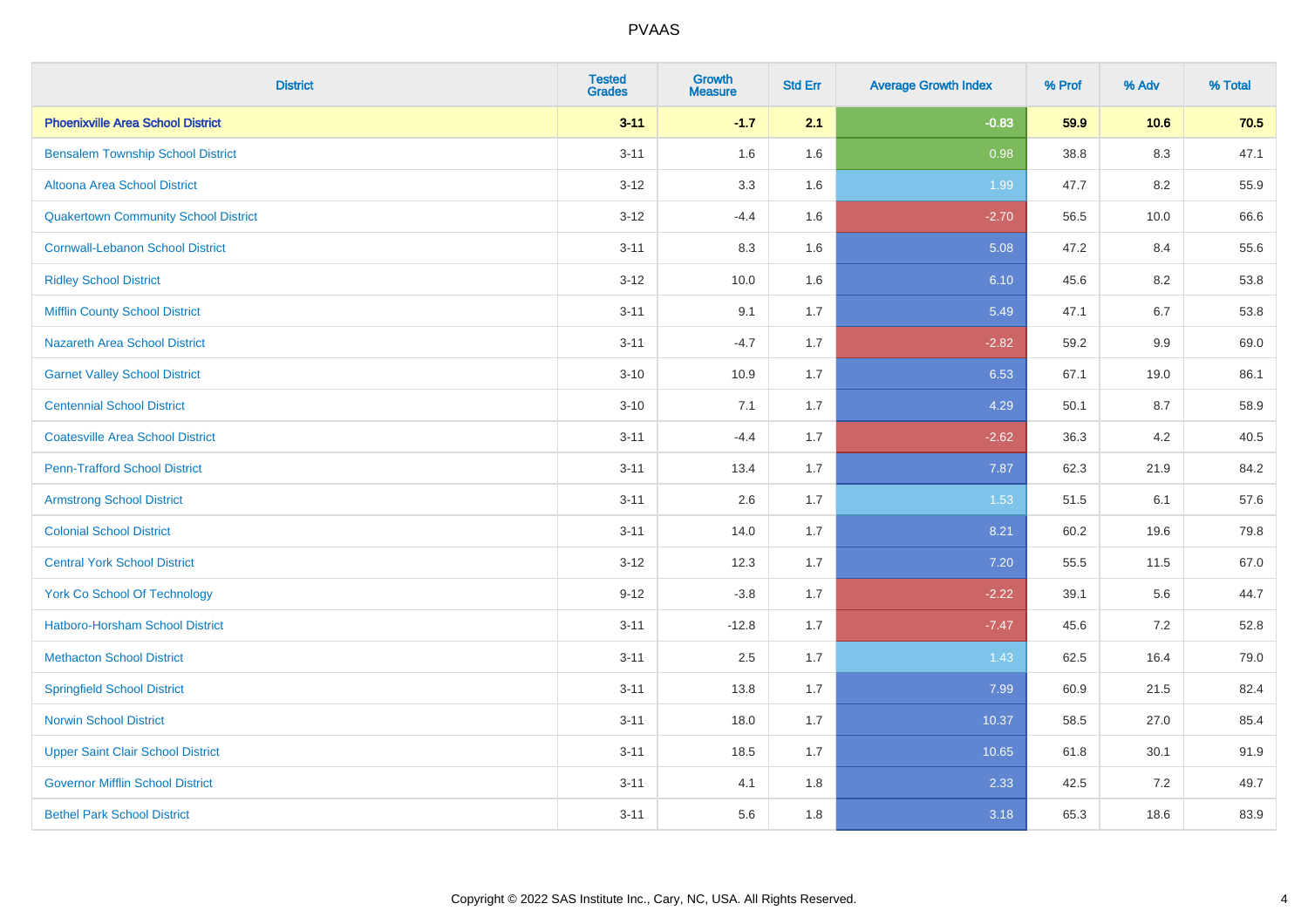| <b>District</b>                             | <b>Tested</b><br><b>Grades</b> | <b>Growth</b><br><b>Measure</b> | <b>Std Err</b> | <b>Average Growth Index</b> | % Prof | % Adv   | % Total |
|---------------------------------------------|--------------------------------|---------------------------------|----------------|-----------------------------|--------|---------|---------|
| <b>Phoenixville Area School District</b>    | $3 - 11$                       | $-1.7$                          | 2.1            | $-0.83$                     | 59.9   | 10.6    | 70.5    |
| <b>Bensalem Township School District</b>    | $3 - 11$                       | 1.6                             | 1.6            | 0.98                        | 38.8   | $8.3\,$ | 47.1    |
| Altoona Area School District                | $3 - 12$                       | 3.3                             | 1.6            | 1.99                        | 47.7   | 8.2     | 55.9    |
| <b>Quakertown Community School District</b> | $3-12$                         | $-4.4$                          | 1.6            | $-2.70$                     | 56.5   | 10.0    | 66.6    |
| <b>Cornwall-Lebanon School District</b>     | $3 - 11$                       | 8.3                             | 1.6            | 5.08                        | 47.2   | 8.4     | 55.6    |
| <b>Ridley School District</b>               | $3 - 12$                       | 10.0                            | 1.6            | 6.10                        | 45.6   | 8.2     | 53.8    |
| <b>Mifflin County School District</b>       | $3 - 11$                       | 9.1                             | 1.7            | 5.49                        | 47.1   | 6.7     | 53.8    |
| <b>Nazareth Area School District</b>        | $3 - 11$                       | $-4.7$                          | 1.7            | $-2.82$                     | 59.2   | 9.9     | 69.0    |
| <b>Garnet Valley School District</b>        | $3 - 10$                       | 10.9                            | 1.7            | 6.53                        | 67.1   | 19.0    | 86.1    |
| <b>Centennial School District</b>           | $3 - 10$                       | 7.1                             | 1.7            | 4.29                        | 50.1   | 8.7     | 58.9    |
| <b>Coatesville Area School District</b>     | $3 - 11$                       | $-4.4$                          | 1.7            | $-2.62$                     | 36.3   | 4.2     | 40.5    |
| <b>Penn-Trafford School District</b>        | $3 - 11$                       | 13.4                            | 1.7            | 7.87                        | 62.3   | 21.9    | 84.2    |
| <b>Armstrong School District</b>            | $3 - 11$                       | 2.6                             | 1.7            | 1.53                        | 51.5   | 6.1     | 57.6    |
| <b>Colonial School District</b>             | $3 - 11$                       | 14.0                            | 1.7            | 8.21                        | 60.2   | 19.6    | 79.8    |
| <b>Central York School District</b>         | $3-12$                         | 12.3                            | 1.7            | 7.20                        | 55.5   | 11.5    | 67.0    |
| <b>York Co School Of Technology</b>         | $9 - 12$                       | $-3.8$                          | 1.7            | $-2.22$                     | 39.1   | 5.6     | 44.7    |
| <b>Hatboro-Horsham School District</b>      | $3 - 11$                       | $-12.8$                         | 1.7            | $-7.47$                     | 45.6   | 7.2     | 52.8    |
| <b>Methacton School District</b>            | $3 - 11$                       | 2.5                             | 1.7            | 1.43                        | 62.5   | 16.4    | 79.0    |
| <b>Springfield School District</b>          | $3 - 11$                       | 13.8                            | 1.7            | 7.99                        | 60.9   | 21.5    | 82.4    |
| <b>Norwin School District</b>               | $3 - 11$                       | 18.0                            | 1.7            | 10.37                       | 58.5   | 27.0    | 85.4    |
| <b>Upper Saint Clair School District</b>    | $3 - 11$                       | 18.5                            | 1.7            | 10.65                       | 61.8   | 30.1    | 91.9    |
| <b>Governor Mifflin School District</b>     | $3 - 11$                       | 4.1                             | 1.8            | 2.33                        | 42.5   | 7.2     | 49.7    |
| <b>Bethel Park School District</b>          | $3 - 11$                       | 5.6                             | 1.8            | 3.18                        | 65.3   | 18.6    | 83.9    |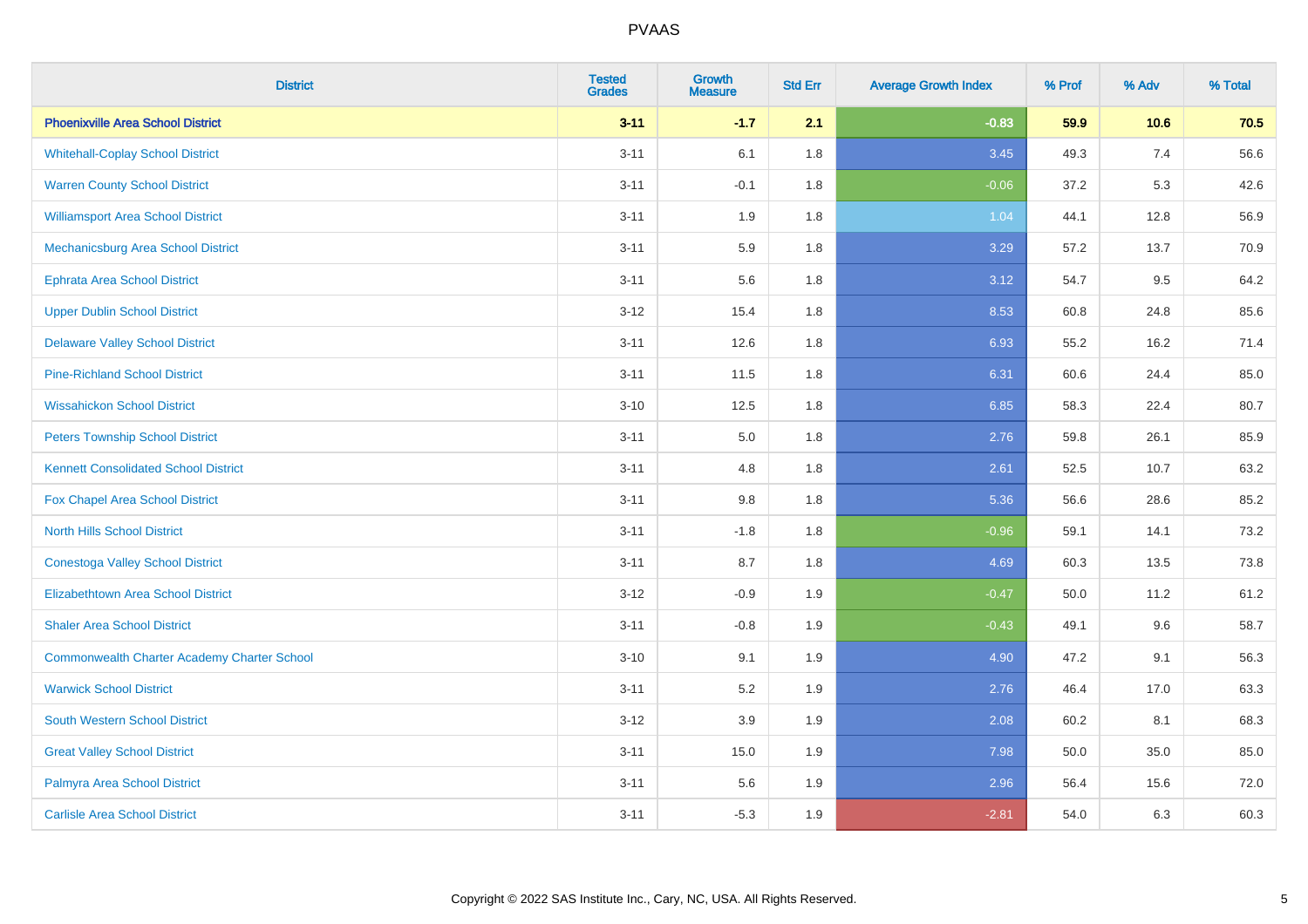| <b>District</b>                                    | <b>Tested</b><br><b>Grades</b> | <b>Growth</b><br><b>Measure</b> | <b>Std Err</b> | <b>Average Growth Index</b> | % Prof | % Adv | % Total |
|----------------------------------------------------|--------------------------------|---------------------------------|----------------|-----------------------------|--------|-------|---------|
| <b>Phoenixville Area School District</b>           | $3 - 11$                       | $-1.7$                          | 2.1            | $-0.83$                     | 59.9   | 10.6  | 70.5    |
| <b>Whitehall-Coplay School District</b>            | $3 - 11$                       | 6.1                             | 1.8            | 3.45                        | 49.3   | 7.4   | 56.6    |
| <b>Warren County School District</b>               | $3 - 11$                       | $-0.1$                          | 1.8            | $-0.06$                     | 37.2   | 5.3   | 42.6    |
| <b>Williamsport Area School District</b>           | $3 - 11$                       | 1.9                             | 1.8            | 1.04                        | 44.1   | 12.8  | 56.9    |
| <b>Mechanicsburg Area School District</b>          | $3 - 11$                       | 5.9                             | 1.8            | 3.29                        | 57.2   | 13.7  | 70.9    |
| <b>Ephrata Area School District</b>                | $3 - 11$                       | 5.6                             | 1.8            | 3.12                        | 54.7   | 9.5   | 64.2    |
| <b>Upper Dublin School District</b>                | $3 - 12$                       | 15.4                            | 1.8            | 8.53                        | 60.8   | 24.8  | 85.6    |
| <b>Delaware Valley School District</b>             | $3 - 11$                       | 12.6                            | 1.8            | 6.93                        | 55.2   | 16.2  | 71.4    |
| <b>Pine-Richland School District</b>               | $3 - 11$                       | 11.5                            | 1.8            | 6.31                        | 60.6   | 24.4  | 85.0    |
| <b>Wissahickon School District</b>                 | $3 - 10$                       | 12.5                            | 1.8            | 6.85                        | 58.3   | 22.4  | 80.7    |
| <b>Peters Township School District</b>             | $3 - 11$                       | 5.0                             | 1.8            | 2.76                        | 59.8   | 26.1  | 85.9    |
| <b>Kennett Consolidated School District</b>        | $3 - 11$                       | 4.8                             | 1.8            | 2.61                        | 52.5   | 10.7  | 63.2    |
| Fox Chapel Area School District                    | $3 - 11$                       | $9.8\,$                         | 1.8            | 5.36                        | 56.6   | 28.6  | 85.2    |
| <b>North Hills School District</b>                 | $3 - 11$                       | $-1.8$                          | 1.8            | $-0.96$                     | 59.1   | 14.1  | 73.2    |
| <b>Conestoga Valley School District</b>            | $3 - 11$                       | 8.7                             | 1.8            | 4.69                        | 60.3   | 13.5  | 73.8    |
| <b>Elizabethtown Area School District</b>          | $3 - 12$                       | $-0.9$                          | 1.9            | $-0.47$                     | 50.0   | 11.2  | 61.2    |
| <b>Shaler Area School District</b>                 | $3 - 11$                       | $-0.8$                          | 1.9            | $-0.43$                     | 49.1   | 9.6   | 58.7    |
| <b>Commonwealth Charter Academy Charter School</b> | $3 - 10$                       | 9.1                             | 1.9            | 4.90                        | 47.2   | 9.1   | 56.3    |
| <b>Warwick School District</b>                     | $3 - 11$                       | 5.2                             | 1.9            | 2.76                        | 46.4   | 17.0  | 63.3    |
| South Western School District                      | $3 - 12$                       | 3.9                             | 1.9            | 2.08                        | 60.2   | 8.1   | 68.3    |
| <b>Great Valley School District</b>                | $3 - 11$                       | 15.0                            | 1.9            | 7.98                        | 50.0   | 35.0  | 85.0    |
| Palmyra Area School District                       | $3 - 11$                       | 5.6                             | 1.9            | 2.96                        | 56.4   | 15.6  | 72.0    |
| <b>Carlisle Area School District</b>               | $3 - 11$                       | $-5.3$                          | 1.9            | $-2.81$                     | 54.0   | 6.3   | 60.3    |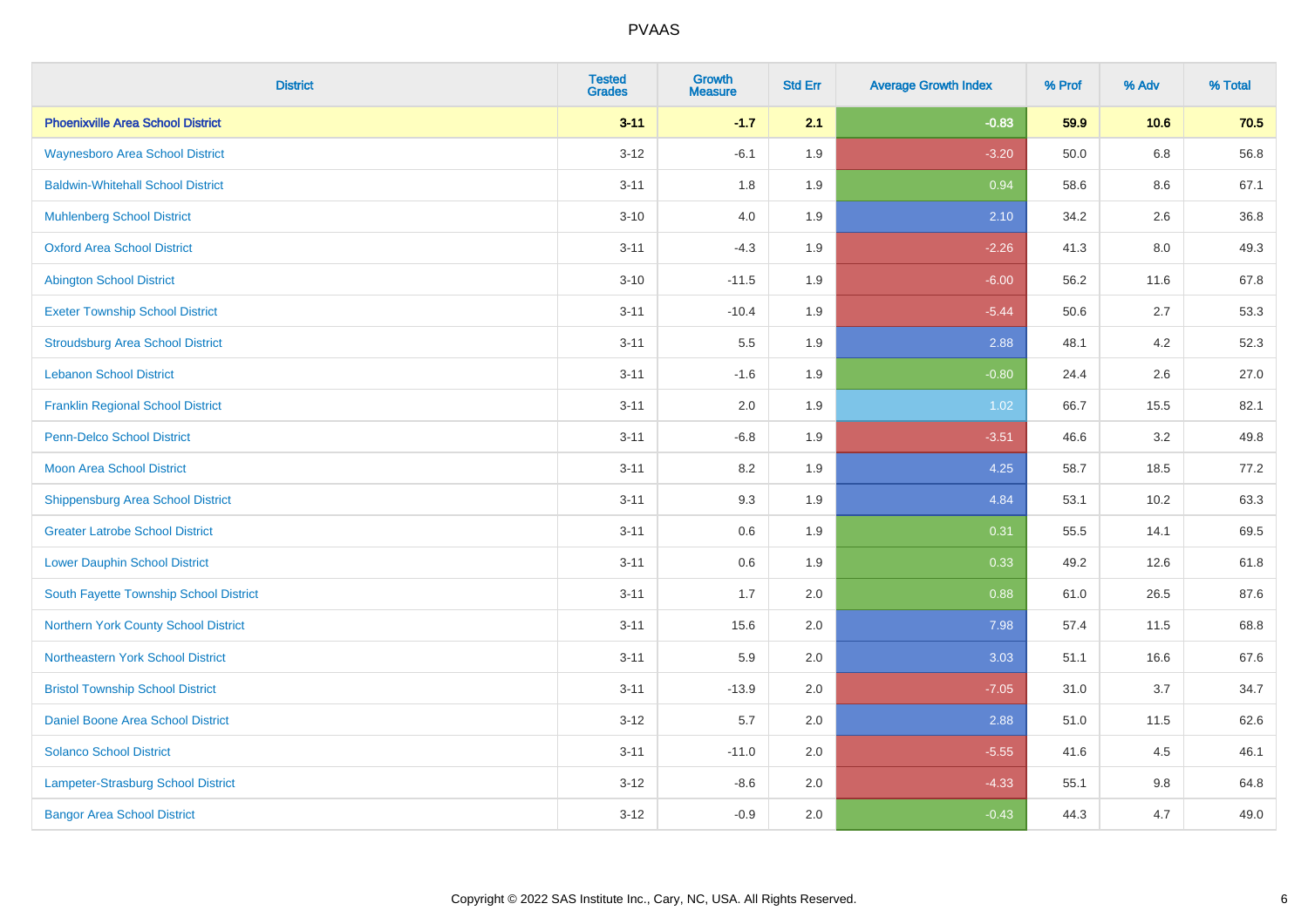| <b>District</b>                          | <b>Tested</b><br><b>Grades</b> | <b>Growth</b><br><b>Measure</b> | <b>Std Err</b> | <b>Average Growth Index</b> | % Prof | % Adv   | % Total |
|------------------------------------------|--------------------------------|---------------------------------|----------------|-----------------------------|--------|---------|---------|
| <b>Phoenixville Area School District</b> | $3 - 11$                       | $-1.7$                          | 2.1            | $-0.83$                     | 59.9   | 10.6    | 70.5    |
| <b>Waynesboro Area School District</b>   | $3 - 12$                       | $-6.1$                          | 1.9            | $-3.20$                     | 50.0   | $6.8\,$ | 56.8    |
| <b>Baldwin-Whitehall School District</b> | $3 - 11$                       | 1.8                             | 1.9            | 0.94                        | 58.6   | 8.6     | 67.1    |
| <b>Muhlenberg School District</b>        | $3 - 10$                       | 4.0                             | 1.9            | 2.10                        | 34.2   | 2.6     | 36.8    |
| <b>Oxford Area School District</b>       | $3 - 11$                       | $-4.3$                          | 1.9            | $-2.26$                     | 41.3   | 8.0     | 49.3    |
| <b>Abington School District</b>          | $3 - 10$                       | $-11.5$                         | 1.9            | $-6.00$                     | 56.2   | 11.6    | 67.8    |
| <b>Exeter Township School District</b>   | $3 - 11$                       | $-10.4$                         | 1.9            | $-5.44$                     | 50.6   | 2.7     | 53.3    |
| <b>Stroudsburg Area School District</b>  | $3 - 11$                       | 5.5                             | 1.9            | 2.88                        | 48.1   | 4.2     | 52.3    |
| <b>Lebanon School District</b>           | $3 - 11$                       | $-1.6$                          | 1.9            | $-0.80$                     | 24.4   | 2.6     | 27.0    |
| <b>Franklin Regional School District</b> | $3 - 11$                       | 2.0                             | 1.9            | 1.02                        | 66.7   | 15.5    | 82.1    |
| Penn-Delco School District               | $3 - 11$                       | $-6.8$                          | 1.9            | $-3.51$                     | 46.6   | 3.2     | 49.8    |
| <b>Moon Area School District</b>         | $3 - 11$                       | 8.2                             | 1.9            | 4.25                        | 58.7   | 18.5    | 77.2    |
| <b>Shippensburg Area School District</b> | $3 - 11$                       | 9.3                             | 1.9            | 4.84                        | 53.1   | 10.2    | 63.3    |
| <b>Greater Latrobe School District</b>   | $3 - 11$                       | $0.6\,$                         | 1.9            | 0.31                        | 55.5   | 14.1    | 69.5    |
| <b>Lower Dauphin School District</b>     | $3 - 11$                       | 0.6                             | 1.9            | 0.33                        | 49.2   | 12.6    | 61.8    |
| South Fayette Township School District   | $3 - 11$                       | 1.7                             | 2.0            | 0.88                        | 61.0   | 26.5    | 87.6    |
| Northern York County School District     | $3 - 11$                       | 15.6                            | 2.0            | 7.98                        | 57.4   | 11.5    | 68.8    |
| Northeastern York School District        | $3 - 11$                       | 5.9                             | 2.0            | 3.03                        | 51.1   | 16.6    | 67.6    |
| <b>Bristol Township School District</b>  | $3 - 11$                       | $-13.9$                         | 2.0            | $-7.05$                     | 31.0   | 3.7     | 34.7    |
| Daniel Boone Area School District        | $3 - 12$                       | 5.7                             | 2.0            | 2.88                        | 51.0   | 11.5    | 62.6    |
| <b>Solanco School District</b>           | $3 - 11$                       | $-11.0$                         | 2.0            | $-5.55$                     | 41.6   | 4.5     | 46.1    |
| Lampeter-Strasburg School District       | $3 - 12$                       | $-8.6$                          | 2.0            | $-4.33$                     | 55.1   | 9.8     | 64.8    |
| <b>Bangor Area School District</b>       | $3 - 12$                       | $-0.9$                          | 2.0            | $-0.43$                     | 44.3   | 4.7     | 49.0    |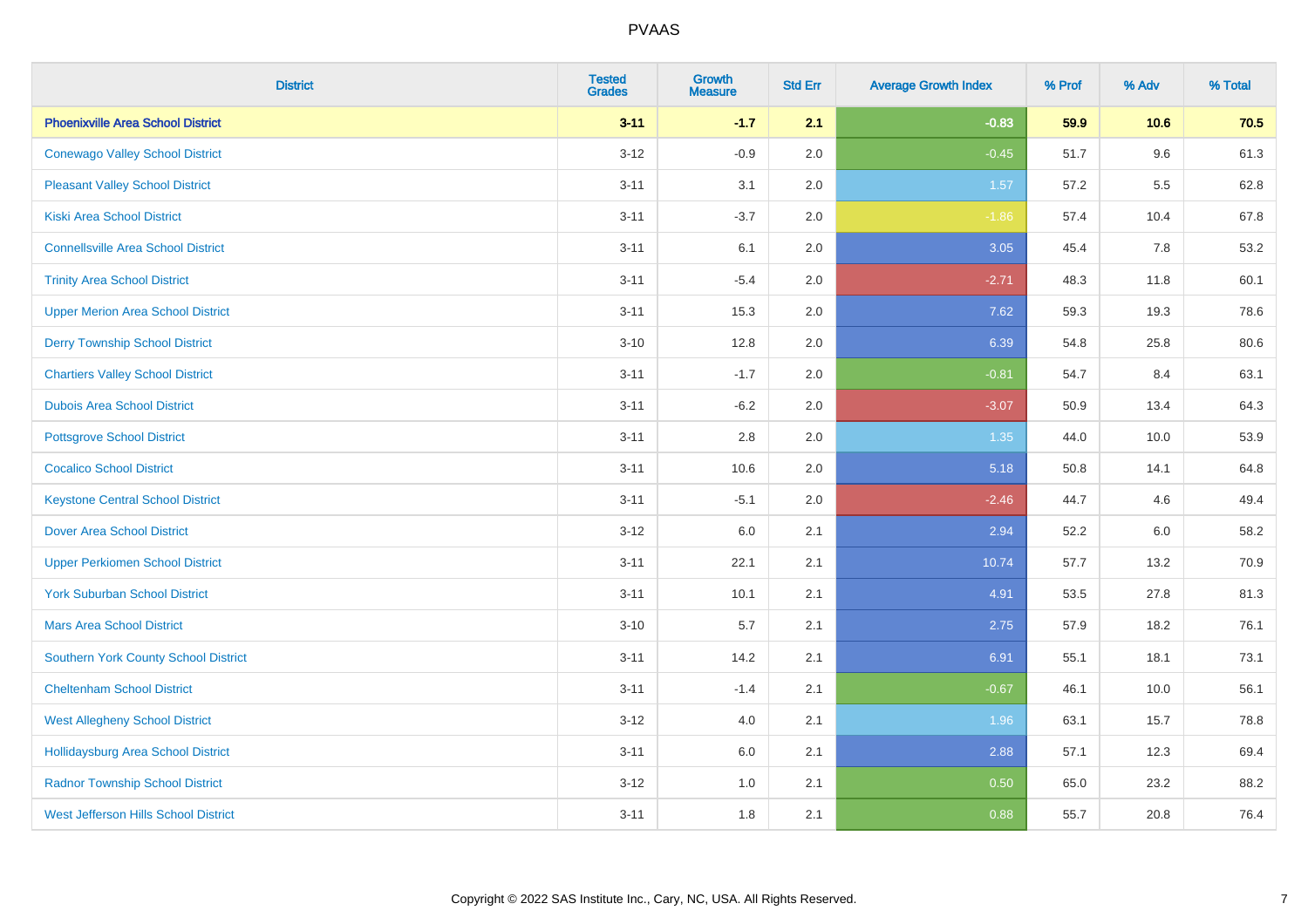| <b>District</b>                             | <b>Tested</b><br><b>Grades</b> | <b>Growth</b><br><b>Measure</b> | <b>Std Err</b> | <b>Average Growth Index</b> | % Prof | % Adv   | % Total |
|---------------------------------------------|--------------------------------|---------------------------------|----------------|-----------------------------|--------|---------|---------|
| <b>Phoenixville Area School District</b>    | $3 - 11$                       | $-1.7$                          | 2.1            | $-0.83$                     | 59.9   | 10.6    | 70.5    |
| <b>Conewago Valley School District</b>      | $3 - 12$                       | $-0.9$                          | 2.0            | $-0.45$                     | 51.7   | $9.6\,$ | 61.3    |
| <b>Pleasant Valley School District</b>      | $3 - 11$                       | 3.1                             | 2.0            | 1.57                        | 57.2   | 5.5     | 62.8    |
| <b>Kiski Area School District</b>           | $3 - 11$                       | $-3.7$                          | 2.0            | $-1.86$                     | 57.4   | 10.4    | 67.8    |
| <b>Connellsville Area School District</b>   | $3 - 11$                       | 6.1                             | 2.0            | 3.05                        | 45.4   | 7.8     | 53.2    |
| <b>Trinity Area School District</b>         | $3 - 11$                       | $-5.4$                          | 2.0            | $-2.71$                     | 48.3   | 11.8    | 60.1    |
| <b>Upper Merion Area School District</b>    | $3 - 11$                       | 15.3                            | 2.0            | 7.62                        | 59.3   | 19.3    | 78.6    |
| <b>Derry Township School District</b>       | $3 - 10$                       | 12.8                            | 2.0            | 6.39                        | 54.8   | 25.8    | 80.6    |
| <b>Chartiers Valley School District</b>     | $3 - 11$                       | $-1.7$                          | 2.0            | $-0.81$                     | 54.7   | 8.4     | 63.1    |
| <b>Dubois Area School District</b>          | $3 - 11$                       | $-6.2$                          | 2.0            | $-3.07$                     | 50.9   | 13.4    | 64.3    |
| <b>Pottsgrove School District</b>           | $3 - 11$                       | 2.8                             | 2.0            | 1.35                        | 44.0   | 10.0    | 53.9    |
| <b>Cocalico School District</b>             | $3 - 11$                       | 10.6                            | 2.0            | 5.18                        | 50.8   | 14.1    | 64.8    |
| <b>Keystone Central School District</b>     | $3 - 11$                       | $-5.1$                          | 2.0            | $-2.46$                     | 44.7   | 4.6     | 49.4    |
| <b>Dover Area School District</b>           | $3 - 12$                       | 6.0                             | 2.1            | 2.94                        | 52.2   | 6.0     | 58.2    |
| <b>Upper Perkiomen School District</b>      | $3 - 11$                       | 22.1                            | 2.1            | 10.74                       | 57.7   | 13.2    | 70.9    |
| <b>York Suburban School District</b>        | $3 - 11$                       | 10.1                            | 2.1            | 4.91                        | 53.5   | 27.8    | 81.3    |
| <b>Mars Area School District</b>            | $3 - 10$                       | 5.7                             | 2.1            | 2.75                        | 57.9   | 18.2    | 76.1    |
| <b>Southern York County School District</b> | $3 - 11$                       | 14.2                            | 2.1            | 6.91                        | 55.1   | 18.1    | 73.1    |
| <b>Cheltenham School District</b>           | $3 - 11$                       | $-1.4$                          | 2.1            | $-0.67$                     | 46.1   | 10.0    | 56.1    |
| <b>West Allegheny School District</b>       | $3 - 12$                       | 4.0                             | 2.1            | 1.96                        | 63.1   | 15.7    | 78.8    |
| <b>Hollidaysburg Area School District</b>   | $3 - 11$                       | 6.0                             | 2.1            | 2.88                        | 57.1   | 12.3    | 69.4    |
| <b>Radnor Township School District</b>      | $3-12$                         | 1.0                             | 2.1            | 0.50                        | 65.0   | 23.2    | 88.2    |
| <b>West Jefferson Hills School District</b> | $3 - 11$                       | 1.8                             | 2.1            | 0.88                        | 55.7   | 20.8    | 76.4    |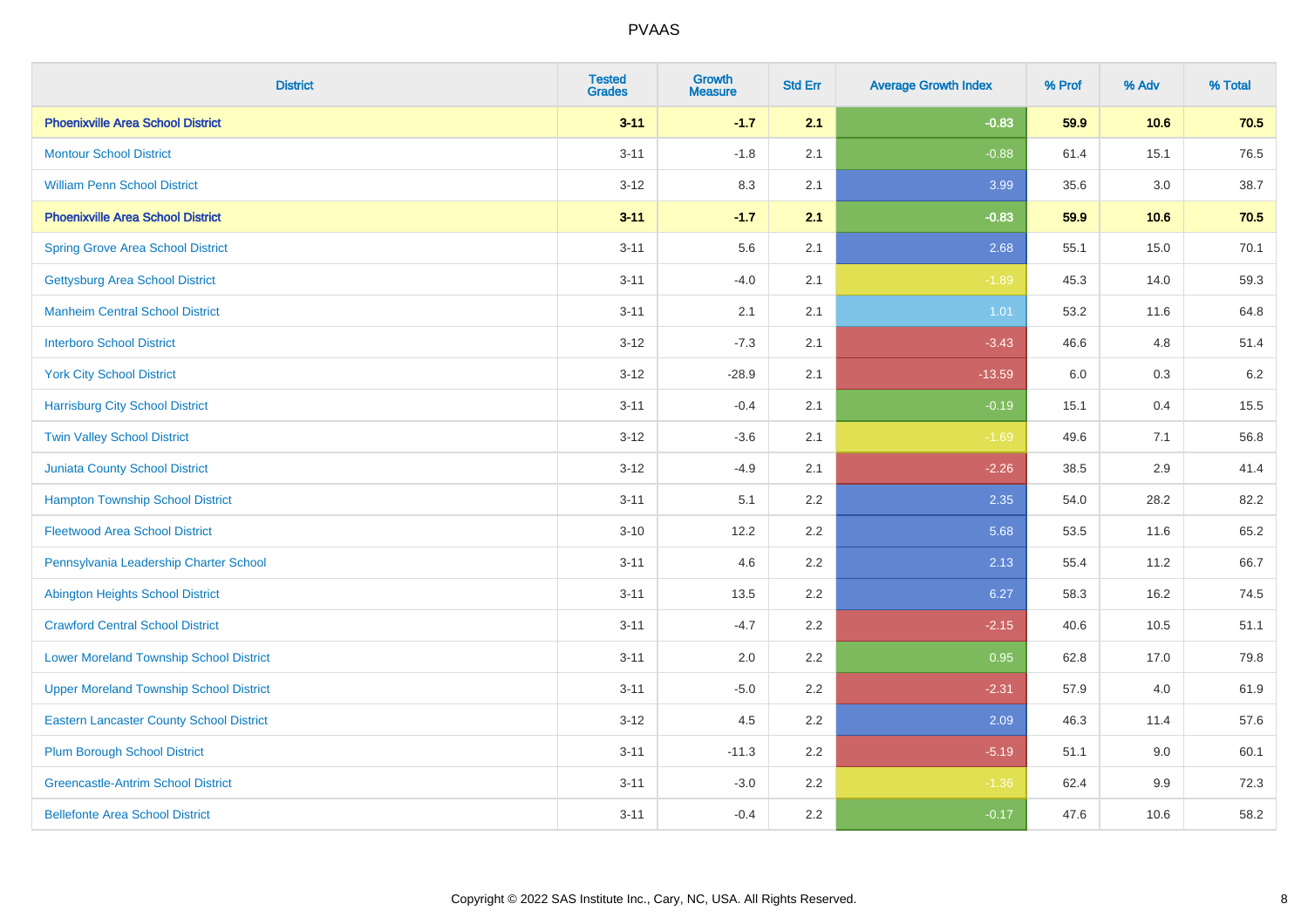| <b>District</b>                                 | <b>Tested</b><br><b>Grades</b> | <b>Growth</b><br><b>Measure</b> | <b>Std Err</b> | <b>Average Growth Index</b> | % Prof | % Adv | % Total |
|-------------------------------------------------|--------------------------------|---------------------------------|----------------|-----------------------------|--------|-------|---------|
| <b>Phoenixville Area School District</b>        | $3 - 11$                       | $-1.7$                          | 2.1            | $-0.83$                     | 59.9   | 10.6  | 70.5    |
| <b>Montour School District</b>                  | $3 - 11$                       | $-1.8$                          | 2.1            | $-0.88$                     | 61.4   | 15.1  | 76.5    |
| <b>William Penn School District</b>             | $3 - 12$                       | 8.3                             | 2.1            | 3.99                        | 35.6   | 3.0   | 38.7    |
| <b>Phoenixville Area School District</b>        | $3 - 11$                       | $-1.7$                          | 2.1            | $-0.83$                     | 59.9   | 10.6  | 70.5    |
| <b>Spring Grove Area School District</b>        | $3 - 11$                       | 5.6                             | 2.1            | 2.68                        | 55.1   | 15.0  | 70.1    |
| <b>Gettysburg Area School District</b>          | $3 - 11$                       | $-4.0$                          | 2.1            | $-1.89$                     | 45.3   | 14.0  | 59.3    |
| <b>Manheim Central School District</b>          | $3 - 11$                       | 2.1                             | 2.1            | 1.01                        | 53.2   | 11.6  | 64.8    |
| <b>Interboro School District</b>                | $3 - 12$                       | $-7.3$                          | 2.1            | $-3.43$                     | 46.6   | 4.8   | 51.4    |
| <b>York City School District</b>                | $3 - 12$                       | $-28.9$                         | 2.1            | $-13.59$                    | 6.0    | 0.3   | 6.2     |
| <b>Harrisburg City School District</b>          | $3 - 11$                       | $-0.4$                          | 2.1            | $-0.19$                     | 15.1   | 0.4   | 15.5    |
| <b>Twin Valley School District</b>              | $3 - 12$                       | $-3.6$                          | 2.1            | $-1.69$                     | 49.6   | 7.1   | 56.8    |
| Juniata County School District                  | $3 - 12$                       | $-4.9$                          | 2.1            | $-2.26$                     | 38.5   | 2.9   | 41.4    |
| <b>Hampton Township School District</b>         | $3 - 11$                       | 5.1                             | 2.2            | 2.35                        | 54.0   | 28.2  | 82.2    |
| <b>Fleetwood Area School District</b>           | $3 - 10$                       | 12.2                            | 2.2            | 5.68                        | 53.5   | 11.6  | 65.2    |
| Pennsylvania Leadership Charter School          | $3 - 11$                       | 4.6                             | 2.2            | 2.13                        | 55.4   | 11.2  | 66.7    |
| <b>Abington Heights School District</b>         | $3 - 11$                       | 13.5                            | 2.2            | 6.27                        | 58.3   | 16.2  | 74.5    |
| <b>Crawford Central School District</b>         | $3 - 11$                       | $-4.7$                          | 2.2            | $-2.15$                     | 40.6   | 10.5  | 51.1    |
| <b>Lower Moreland Township School District</b>  | $3 - 11$                       | 2.0                             | 2.2            | 0.95                        | 62.8   | 17.0  | 79.8    |
| <b>Upper Moreland Township School District</b>  | $3 - 11$                       | $-5.0$                          | 2.2            | $-2.31$                     | 57.9   | 4.0   | 61.9    |
| <b>Eastern Lancaster County School District</b> | $3 - 12$                       | 4.5                             | 2.2            | 2.09                        | 46.3   | 11.4  | 57.6    |
| <b>Plum Borough School District</b>             | $3 - 11$                       | $-11.3$                         | 2.2            | $-5.19$                     | 51.1   | 9.0   | 60.1    |
| <b>Greencastle-Antrim School District</b>       | $3 - 11$                       | $-3.0$                          | 2.2            | $-1.36$                     | 62.4   | 9.9   | 72.3    |
| <b>Bellefonte Area School District</b>          | $3 - 11$                       | $-0.4$                          | 2.2            | $-0.17$                     | 47.6   | 10.6  | 58.2    |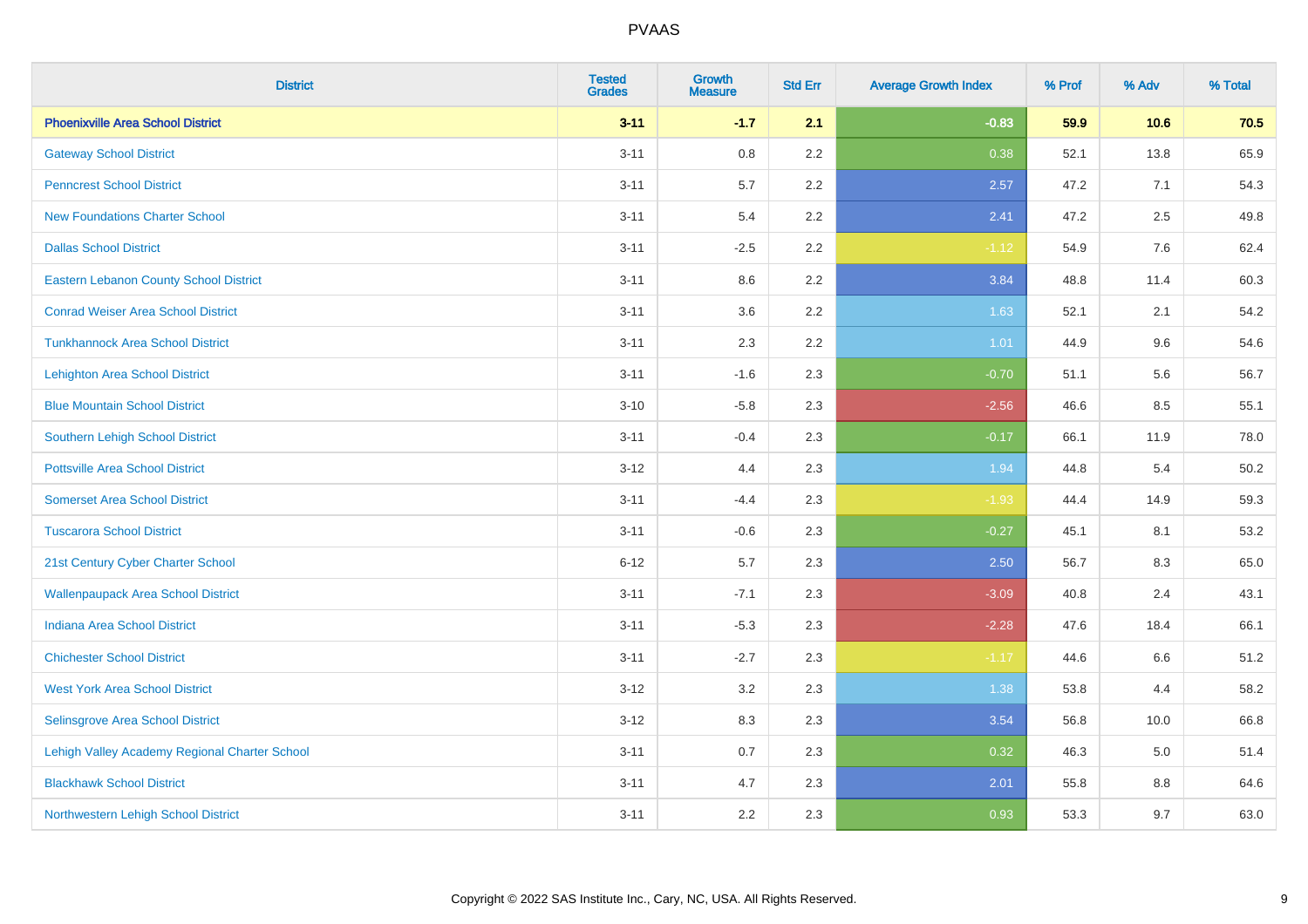| <b>District</b>                               | <b>Tested</b><br><b>Grades</b> | <b>Growth</b><br><b>Measure</b> | <b>Std Err</b> | <b>Average Growth Index</b> | % Prof | % Adv | % Total |
|-----------------------------------------------|--------------------------------|---------------------------------|----------------|-----------------------------|--------|-------|---------|
| <b>Phoenixville Area School District</b>      | $3 - 11$                       | $-1.7$                          | 2.1            | $-0.83$                     | 59.9   | 10.6  | 70.5    |
| <b>Gateway School District</b>                | $3 - 11$                       | 0.8                             | 2.2            | 0.38                        | 52.1   | 13.8  | 65.9    |
| <b>Penncrest School District</b>              | $3 - 11$                       | 5.7                             | 2.2            | 2.57                        | 47.2   | 7.1   | 54.3    |
| <b>New Foundations Charter School</b>         | $3 - 11$                       | 5.4                             | 2.2            | 2.41                        | 47.2   | 2.5   | 49.8    |
| <b>Dallas School District</b>                 | $3 - 11$                       | $-2.5$                          | 2.2            | $-1.12$                     | 54.9   | 7.6   | 62.4    |
| <b>Eastern Lebanon County School District</b> | $3 - 11$                       | 8.6                             | 2.2            | 3.84                        | 48.8   | 11.4  | 60.3    |
| <b>Conrad Weiser Area School District</b>     | $3 - 11$                       | 3.6                             | 2.2            | 1.63                        | 52.1   | 2.1   | 54.2    |
| <b>Tunkhannock Area School District</b>       | $3 - 11$                       | 2.3                             | 2.2            | 1.01                        | 44.9   | 9.6   | 54.6    |
| <b>Lehighton Area School District</b>         | $3 - 11$                       | $-1.6$                          | 2.3            | $-0.70$                     | 51.1   | 5.6   | 56.7    |
| <b>Blue Mountain School District</b>          | $3 - 10$                       | $-5.8$                          | 2.3            | $-2.56$                     | 46.6   | 8.5   | 55.1    |
| Southern Lehigh School District               | $3 - 11$                       | $-0.4$                          | 2.3            | $-0.17$                     | 66.1   | 11.9  | 78.0    |
| <b>Pottsville Area School District</b>        | $3 - 12$                       | 4.4                             | 2.3            | 1.94                        | 44.8   | 5.4   | 50.2    |
| <b>Somerset Area School District</b>          | $3 - 11$                       | $-4.4$                          | 2.3            | $-1.93$                     | 44.4   | 14.9  | 59.3    |
| <b>Tuscarora School District</b>              | $3 - 11$                       | $-0.6$                          | 2.3            | $-0.27$                     | 45.1   | 8.1   | 53.2    |
| 21st Century Cyber Charter School             | $6 - 12$                       | 5.7                             | 2.3            | 2.50                        | 56.7   | 8.3   | 65.0    |
| <b>Wallenpaupack Area School District</b>     | $3 - 11$                       | $-7.1$                          | 2.3            | $-3.09$                     | 40.8   | 2.4   | 43.1    |
| <b>Indiana Area School District</b>           | $3 - 11$                       | $-5.3$                          | 2.3            | $-2.28$                     | 47.6   | 18.4  | 66.1    |
| <b>Chichester School District</b>             | $3 - 11$                       | $-2.7$                          | 2.3            | $-1.17$                     | 44.6   | 6.6   | 51.2    |
| <b>West York Area School District</b>         | $3 - 12$                       | 3.2                             | 2.3            | 1.38                        | 53.8   | 4.4   | 58.2    |
| Selinsgrove Area School District              | $3 - 12$                       | 8.3                             | 2.3            | 3.54                        | 56.8   | 10.0  | 66.8    |
| Lehigh Valley Academy Regional Charter School | $3 - 11$                       | 0.7                             | 2.3            | 0.32                        | 46.3   | 5.0   | 51.4    |
| <b>Blackhawk School District</b>              | $3 - 11$                       | 4.7                             | 2.3            | 2.01                        | 55.8   | 8.8   | 64.6    |
| Northwestern Lehigh School District           | $3 - 11$                       | 2.2                             | 2.3            | 0.93                        | 53.3   | 9.7   | 63.0    |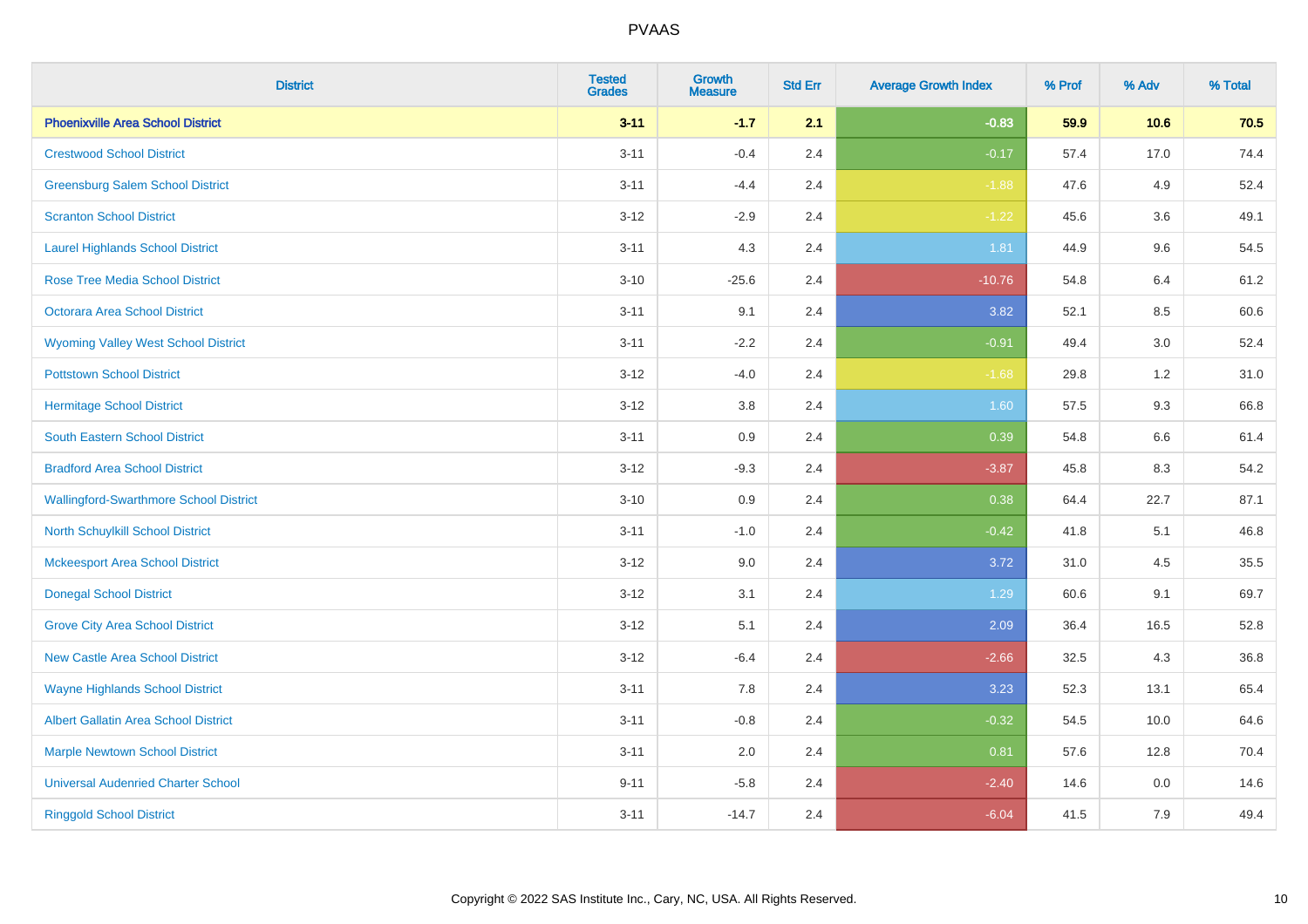| <b>District</b>                               | <b>Tested</b><br><b>Grades</b> | Growth<br><b>Measure</b> | <b>Std Err</b> | <b>Average Growth Index</b> | % Prof | % Adv   | % Total |
|-----------------------------------------------|--------------------------------|--------------------------|----------------|-----------------------------|--------|---------|---------|
| <b>Phoenixville Area School District</b>      | $3 - 11$                       | $-1.7$                   | 2.1            | $-0.83$                     | 59.9   | 10.6    | 70.5    |
| <b>Crestwood School District</b>              | $3 - 11$                       | $-0.4$                   | 2.4            | $-0.17$                     | 57.4   | 17.0    | 74.4    |
| <b>Greensburg Salem School District</b>       | $3 - 11$                       | $-4.4$                   | 2.4            | $-1.88$                     | 47.6   | 4.9     | 52.4    |
| <b>Scranton School District</b>               | $3 - 12$                       | $-2.9$                   | 2.4            | $-1.22$                     | 45.6   | 3.6     | 49.1    |
| <b>Laurel Highlands School District</b>       | $3 - 11$                       | 4.3                      | 2.4            | 1.81                        | 44.9   | 9.6     | 54.5    |
| <b>Rose Tree Media School District</b>        | $3 - 10$                       | $-25.6$                  | 2.4            | $-10.76$                    | 54.8   | 6.4     | 61.2    |
| Octorara Area School District                 | $3 - 11$                       | 9.1                      | 2.4            | 3.82                        | 52.1   | 8.5     | 60.6    |
| <b>Wyoming Valley West School District</b>    | $3 - 11$                       | $-2.2$                   | 2.4            | $-0.91$                     | 49.4   | 3.0     | 52.4    |
| <b>Pottstown School District</b>              | $3 - 12$                       | $-4.0$                   | 2.4            | $-1.68$                     | 29.8   | 1.2     | 31.0    |
| <b>Hermitage School District</b>              | $3 - 12$                       | 3.8                      | 2.4            | 1.60                        | 57.5   | 9.3     | 66.8    |
| South Eastern School District                 | $3 - 11$                       | 0.9                      | 2.4            | 0.39                        | 54.8   | 6.6     | 61.4    |
| <b>Bradford Area School District</b>          | $3-12$                         | $-9.3$                   | 2.4            | $-3.87$                     | 45.8   | 8.3     | 54.2    |
| <b>Wallingford-Swarthmore School District</b> | $3 - 10$                       | 0.9                      | 2.4            | 0.38                        | 64.4   | 22.7    | 87.1    |
| <b>North Schuylkill School District</b>       | $3 - 11$                       | $-1.0$                   | 2.4            | $-0.42$                     | 41.8   | 5.1     | 46.8    |
| <b>Mckeesport Area School District</b>        | $3 - 12$                       | 9.0                      | 2.4            | 3.72                        | 31.0   | 4.5     | 35.5    |
| <b>Donegal School District</b>                | $3 - 12$                       | 3.1                      | 2.4            | 1.29                        | 60.6   | 9.1     | 69.7    |
| <b>Grove City Area School District</b>        | $3 - 12$                       | 5.1                      | 2.4            | 2.09                        | 36.4   | 16.5    | 52.8    |
| <b>New Castle Area School District</b>        | $3 - 12$                       | $-6.4$                   | 2.4            | $-2.66$                     | 32.5   | 4.3     | 36.8    |
| <b>Wayne Highlands School District</b>        | $3 - 11$                       | 7.8                      | 2.4            | 3.23                        | 52.3   | 13.1    | 65.4    |
| Albert Gallatin Area School District          | $3 - 11$                       | $-0.8$                   | 2.4            | $-0.32$                     | 54.5   | 10.0    | 64.6    |
| <b>Marple Newtown School District</b>         | $3 - 11$                       | 2.0                      | 2.4            | 0.81                        | 57.6   | 12.8    | 70.4    |
| <b>Universal Audenried Charter School</b>     | $9 - 11$                       | $-5.8$                   | 2.4            | $-2.40$                     | 14.6   | $0.0\,$ | 14.6    |
| <b>Ringgold School District</b>               | $3 - 11$                       | $-14.7$                  | 2.4            | $-6.04$                     | 41.5   | 7.9     | 49.4    |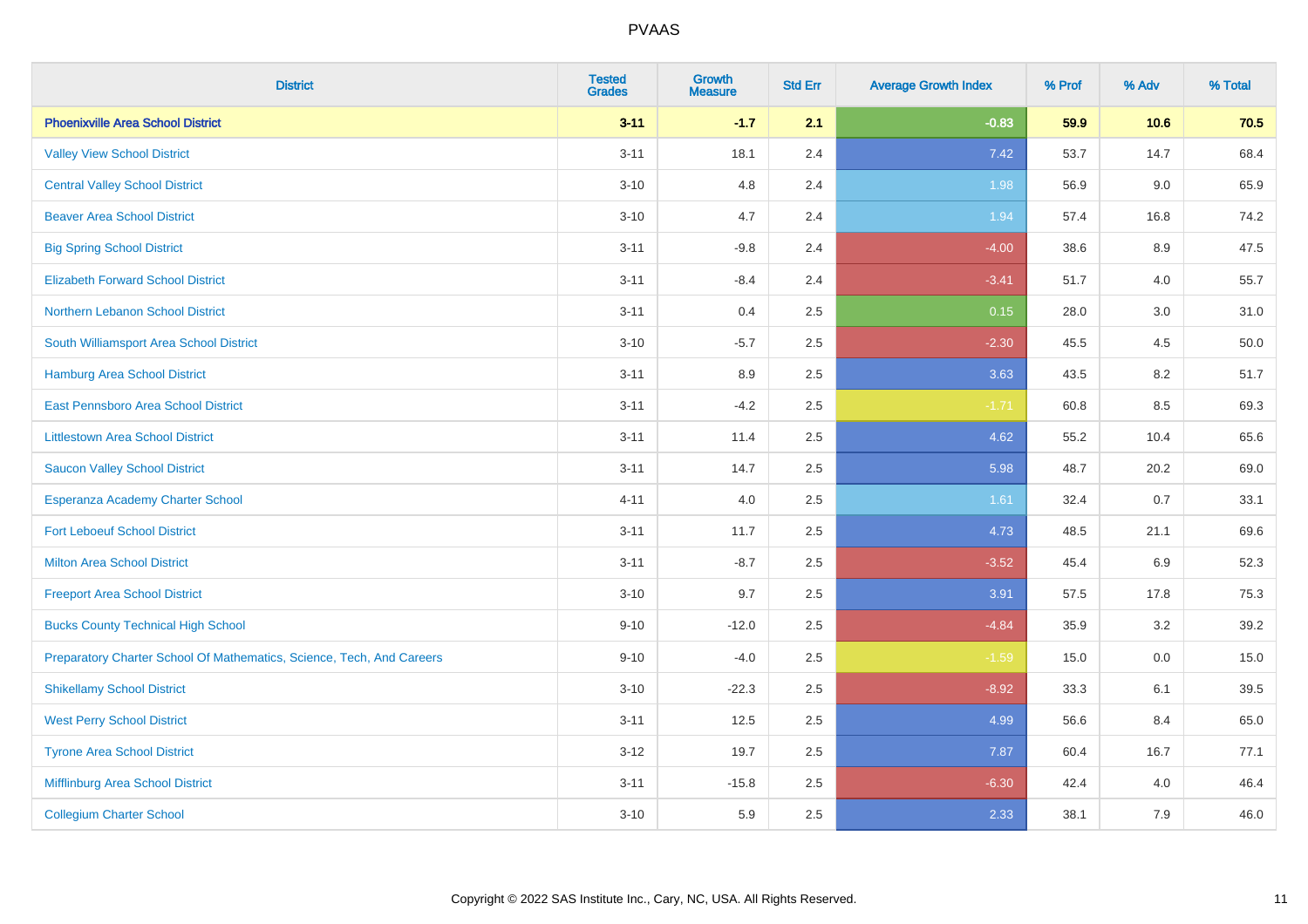| <b>District</b>                                                       | <b>Tested</b><br><b>Grades</b> | <b>Growth</b><br><b>Measure</b> | <b>Std Err</b> | <b>Average Growth Index</b> | % Prof | % Adv | % Total |
|-----------------------------------------------------------------------|--------------------------------|---------------------------------|----------------|-----------------------------|--------|-------|---------|
| <b>Phoenixville Area School District</b>                              | $3 - 11$                       | $-1.7$                          | 2.1            | $-0.83$                     | 59.9   | 10.6  | 70.5    |
| <b>Valley View School District</b>                                    | $3 - 11$                       | 18.1                            | 2.4            | 7.42                        | 53.7   | 14.7  | 68.4    |
| <b>Central Valley School District</b>                                 | $3 - 10$                       | 4.8                             | 2.4            | 1.98                        | 56.9   | 9.0   | 65.9    |
| <b>Beaver Area School District</b>                                    | $3 - 10$                       | 4.7                             | 2.4            | 1.94                        | 57.4   | 16.8  | 74.2    |
| <b>Big Spring School District</b>                                     | $3 - 11$                       | $-9.8$                          | 2.4            | $-4.00$                     | 38.6   | 8.9   | 47.5    |
| <b>Elizabeth Forward School District</b>                              | $3 - 11$                       | $-8.4$                          | 2.4            | $-3.41$                     | 51.7   | 4.0   | 55.7    |
| Northern Lebanon School District                                      | $3 - 11$                       | 0.4                             | 2.5            | 0.15                        | 28.0   | 3.0   | 31.0    |
| South Williamsport Area School District                               | $3 - 10$                       | $-5.7$                          | 2.5            | $-2.30$                     | 45.5   | 4.5   | 50.0    |
| Hamburg Area School District                                          | $3 - 11$                       | 8.9                             | 2.5            | 3.63                        | 43.5   | 8.2   | 51.7    |
| East Pennsboro Area School District                                   | $3 - 11$                       | $-4.2$                          | 2.5            | $-1.71$                     | 60.8   | 8.5   | 69.3    |
| <b>Littlestown Area School District</b>                               | $3 - 11$                       | 11.4                            | 2.5            | 4.62                        | 55.2   | 10.4  | 65.6    |
| <b>Saucon Valley School District</b>                                  | $3 - 11$                       | 14.7                            | 2.5            | 5.98                        | 48.7   | 20.2  | 69.0    |
| Esperanza Academy Charter School                                      | $4 - 11$                       | 4.0                             | 2.5            | 1.61                        | 32.4   | 0.7   | 33.1    |
| <b>Fort Leboeuf School District</b>                                   | $3 - 11$                       | 11.7                            | 2.5            | 4.73                        | 48.5   | 21.1  | 69.6    |
| <b>Milton Area School District</b>                                    | $3 - 11$                       | $-8.7$                          | 2.5            | $-3.52$                     | 45.4   | 6.9   | 52.3    |
| <b>Freeport Area School District</b>                                  | $3 - 10$                       | 9.7                             | 2.5            | 3.91                        | 57.5   | 17.8  | 75.3    |
| <b>Bucks County Technical High School</b>                             | $9 - 10$                       | $-12.0$                         | 2.5            | $-4.84$                     | 35.9   | 3.2   | 39.2    |
| Preparatory Charter School Of Mathematics, Science, Tech, And Careers | $9 - 10$                       | $-4.0$                          | 2.5            | $-1.59$                     | 15.0   | 0.0   | 15.0    |
| <b>Shikellamy School District</b>                                     | $3 - 10$                       | $-22.3$                         | 2.5            | $-8.92$                     | 33.3   | 6.1   | 39.5    |
| <b>West Perry School District</b>                                     | $3 - 11$                       | 12.5                            | 2.5            | 4.99                        | 56.6   | 8.4   | 65.0    |
| <b>Tyrone Area School District</b>                                    | $3 - 12$                       | 19.7                            | 2.5            | 7.87                        | 60.4   | 16.7  | 77.1    |
| Mifflinburg Area School District                                      | $3 - 11$                       | $-15.8$                         | 2.5            | $-6.30$                     | 42.4   | 4.0   | 46.4    |
| <b>Collegium Charter School</b>                                       | $3 - 10$                       | 5.9                             | 2.5            | 2.33                        | 38.1   | 7.9   | 46.0    |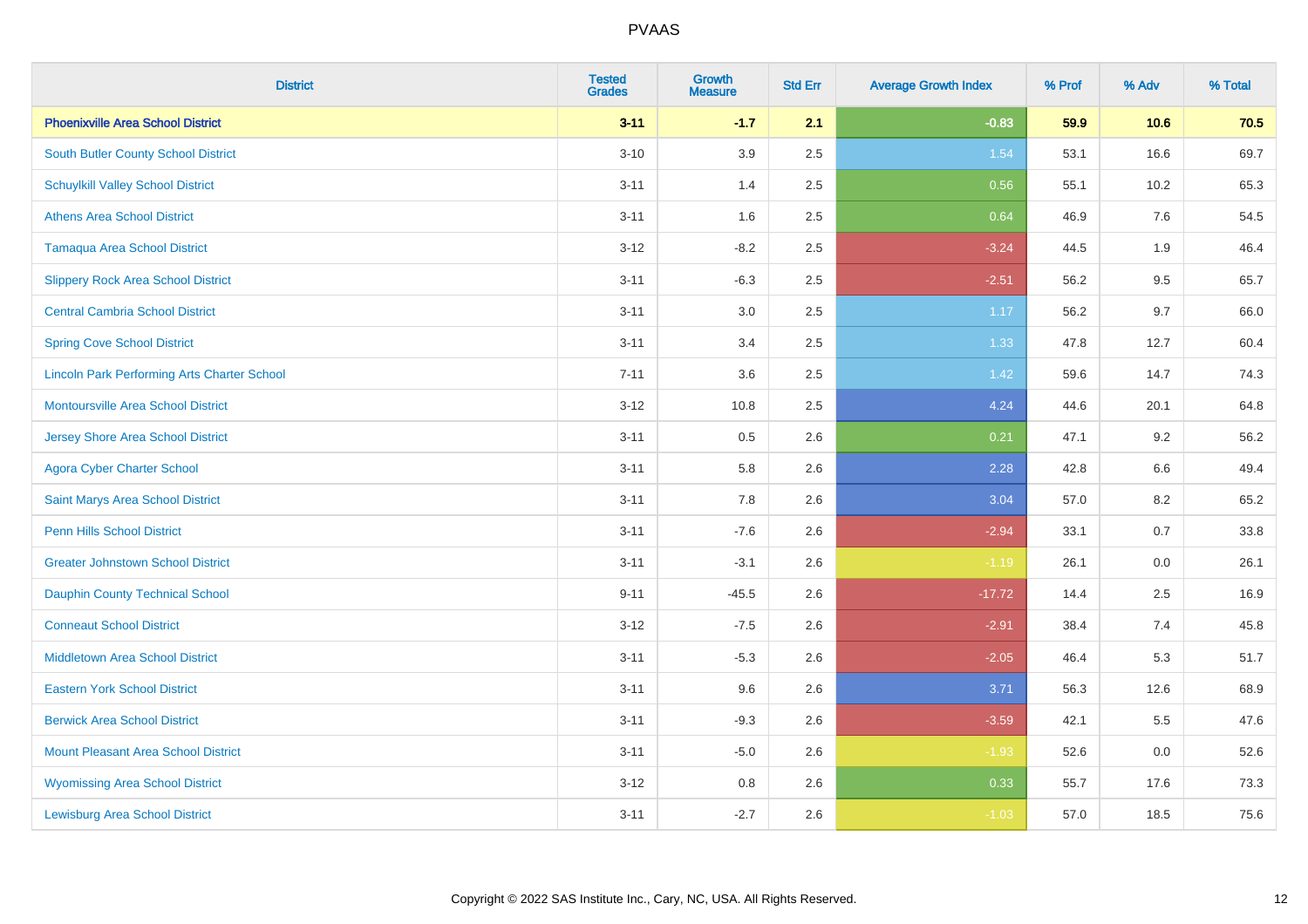| <b>District</b>                                    | <b>Tested</b><br><b>Grades</b> | <b>Growth</b><br><b>Measure</b> | <b>Std Err</b> | <b>Average Growth Index</b> | % Prof | % Adv   | % Total |
|----------------------------------------------------|--------------------------------|---------------------------------|----------------|-----------------------------|--------|---------|---------|
| <b>Phoenixville Area School District</b>           | $3 - 11$                       | $-1.7$                          | 2.1            | $-0.83$                     | 59.9   | 10.6    | 70.5    |
| South Butler County School District                | $3 - 10$                       | 3.9                             | 2.5            | 1.54                        | 53.1   | 16.6    | 69.7    |
| <b>Schuylkill Valley School District</b>           | $3 - 11$                       | 1.4                             | 2.5            | 0.56                        | 55.1   | 10.2    | 65.3    |
| <b>Athens Area School District</b>                 | $3 - 11$                       | 1.6                             | 2.5            | 0.64                        | 46.9   | 7.6     | 54.5    |
| <b>Tamaqua Area School District</b>                | $3 - 12$                       | $-8.2$                          | 2.5            | $-3.24$                     | 44.5   | 1.9     | 46.4    |
| <b>Slippery Rock Area School District</b>          | $3 - 11$                       | $-6.3$                          | 2.5            | $-2.51$                     | 56.2   | 9.5     | 65.7    |
| <b>Central Cambria School District</b>             | $3 - 11$                       | 3.0                             | 2.5            | 1.17                        | 56.2   | 9.7     | 66.0    |
| <b>Spring Cove School District</b>                 | $3 - 11$                       | 3.4                             | 2.5            | 1.33                        | 47.8   | 12.7    | 60.4    |
| <b>Lincoln Park Performing Arts Charter School</b> | $7 - 11$                       | 3.6                             | 2.5            | 1.42                        | 59.6   | 14.7    | 74.3    |
| <b>Montoursville Area School District</b>          | $3 - 12$                       | 10.8                            | 2.5            | 4.24                        | 44.6   | 20.1    | 64.8    |
| <b>Jersey Shore Area School District</b>           | $3 - 11$                       | 0.5                             | 2.6            | 0.21                        | 47.1   | 9.2     | 56.2    |
| <b>Agora Cyber Charter School</b>                  | $3 - 11$                       | 5.8                             | 2.6            | 2.28                        | 42.8   | 6.6     | 49.4    |
| Saint Marys Area School District                   | $3 - 11$                       | 7.8                             | 2.6            | 3.04                        | 57.0   | $8.2\,$ | 65.2    |
| <b>Penn Hills School District</b>                  | $3 - 11$                       | $-7.6$                          | 2.6            | $-2.94$                     | 33.1   | 0.7     | 33.8    |
| <b>Greater Johnstown School District</b>           | $3 - 11$                       | $-3.1$                          | 2.6            | $-1.19$                     | 26.1   | 0.0     | 26.1    |
| <b>Dauphin County Technical School</b>             | $9 - 11$                       | $-45.5$                         | 2.6            | $-17.72$                    | 14.4   | 2.5     | 16.9    |
| <b>Conneaut School District</b>                    | $3 - 12$                       | $-7.5$                          | 2.6            | $-2.91$                     | 38.4   | 7.4     | 45.8    |
| <b>Middletown Area School District</b>             | $3 - 11$                       | $-5.3$                          | 2.6            | $-2.05$                     | 46.4   | 5.3     | 51.7    |
| <b>Eastern York School District</b>                | $3 - 11$                       | 9.6                             | 2.6            | 3.71                        | 56.3   | 12.6    | 68.9    |
| <b>Berwick Area School District</b>                | $3 - 11$                       | $-9.3$                          | 2.6            | $-3.59$                     | 42.1   | 5.5     | 47.6    |
| <b>Mount Pleasant Area School District</b>         | $3 - 11$                       | $-5.0$                          | 2.6            | $-1.93$                     | 52.6   | 0.0     | 52.6    |
| <b>Wyomissing Area School District</b>             | $3 - 12$                       | $0.8\,$                         | 2.6            | 0.33                        | 55.7   | 17.6    | 73.3    |
| <b>Lewisburg Area School District</b>              | $3 - 11$                       | $-2.7$                          | 2.6            | $-1.03$                     | 57.0   | 18.5    | 75.6    |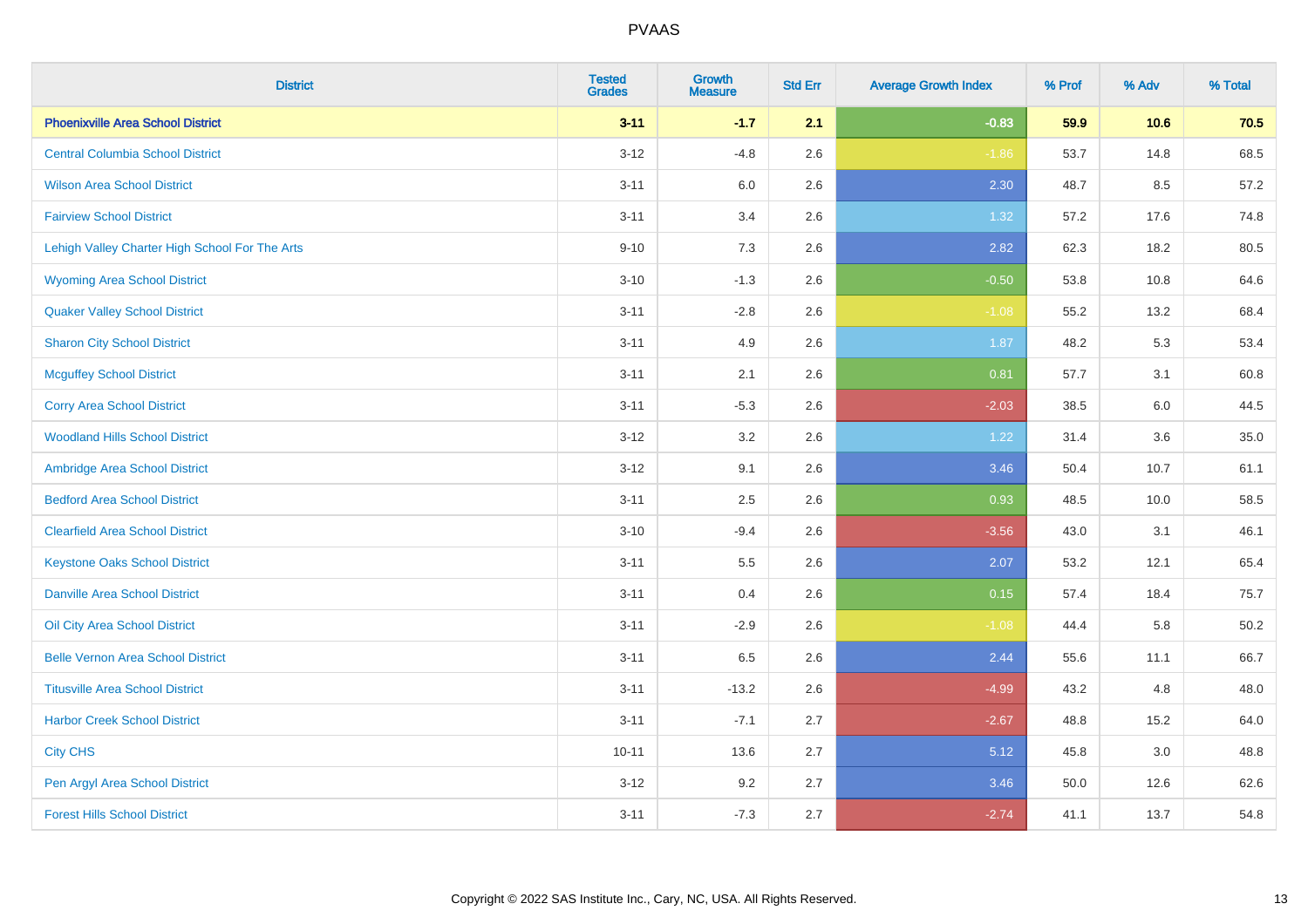| <b>District</b>                                | <b>Tested</b><br><b>Grades</b> | <b>Growth</b><br><b>Measure</b> | <b>Std Err</b> | <b>Average Growth Index</b> | % Prof | % Adv | % Total  |
|------------------------------------------------|--------------------------------|---------------------------------|----------------|-----------------------------|--------|-------|----------|
| <b>Phoenixville Area School District</b>       | $3 - 11$                       | $-1.7$                          | 2.1            | $-0.83$                     | 59.9   | 10.6  | 70.5     |
| <b>Central Columbia School District</b>        | $3-12$                         | $-4.8$                          | 2.6            | $-1.86$                     | 53.7   | 14.8  | 68.5     |
| <b>Wilson Area School District</b>             | $3 - 11$                       | 6.0                             | 2.6            | 2.30                        | 48.7   | 8.5   | 57.2     |
| <b>Fairview School District</b>                | $3 - 11$                       | 3.4                             | 2.6            | 1.32                        | 57.2   | 17.6  | 74.8     |
| Lehigh Valley Charter High School For The Arts | $9 - 10$                       | 7.3                             | 2.6            | 2.82                        | 62.3   | 18.2  | 80.5     |
| <b>Wyoming Area School District</b>            | $3 - 10$                       | $-1.3$                          | 2.6            | $-0.50$                     | 53.8   | 10.8  | 64.6     |
| <b>Quaker Valley School District</b>           | $3 - 11$                       | $-2.8$                          | 2.6            | $-1.08$                     | 55.2   | 13.2  | 68.4     |
| <b>Sharon City School District</b>             | $3 - 11$                       | 4.9                             | 2.6            | 1.87                        | 48.2   | 5.3   | 53.4     |
| <b>Mcguffey School District</b>                | $3 - 11$                       | 2.1                             | 2.6            | 0.81                        | 57.7   | 3.1   | 60.8     |
| <b>Corry Area School District</b>              | $3 - 11$                       | $-5.3$                          | 2.6            | $-2.03$                     | 38.5   | 6.0   | 44.5     |
| <b>Woodland Hills School District</b>          | $3 - 12$                       | 3.2                             | 2.6            | 1.22                        | 31.4   | 3.6   | 35.0     |
| Ambridge Area School District                  | $3 - 12$                       | 9.1                             | 2.6            | 3.46                        | 50.4   | 10.7  | 61.1     |
| <b>Bedford Area School District</b>            | $3 - 11$                       | 2.5                             | 2.6            | 0.93                        | 48.5   | 10.0  | 58.5     |
| <b>Clearfield Area School District</b>         | $3 - 10$                       | $-9.4$                          | 2.6            | $-3.56$                     | 43.0   | 3.1   | 46.1     |
| <b>Keystone Oaks School District</b>           | $3 - 11$                       | $5.5\,$                         | 2.6            | 2.07                        | 53.2   | 12.1  | 65.4     |
| <b>Danville Area School District</b>           | $3 - 11$                       | 0.4                             | 2.6            | 0.15                        | 57.4   | 18.4  | 75.7     |
| Oil City Area School District                  | $3 - 11$                       | $-2.9$                          | 2.6            | $-1.08$                     | 44.4   | 5.8   | $50.2\,$ |
| <b>Belle Vernon Area School District</b>       | $3 - 11$                       | 6.5                             | 2.6            | 2.44                        | 55.6   | 11.1  | 66.7     |
| <b>Titusville Area School District</b>         | $3 - 11$                       | $-13.2$                         | 2.6            | $-4.99$                     | 43.2   | 4.8   | 48.0     |
| <b>Harbor Creek School District</b>            | $3 - 11$                       | $-7.1$                          | 2.7            | $-2.67$                     | 48.8   | 15.2  | 64.0     |
| <b>City CHS</b>                                | $10 - 11$                      | 13.6                            | 2.7            | 5.12                        | 45.8   | 3.0   | 48.8     |
| Pen Argyl Area School District                 | $3 - 12$                       | 9.2                             | 2.7            | 3.46                        | 50.0   | 12.6  | 62.6     |
| <b>Forest Hills School District</b>            | $3 - 11$                       | $-7.3$                          | 2.7            | $-2.74$                     | 41.1   | 13.7  | 54.8     |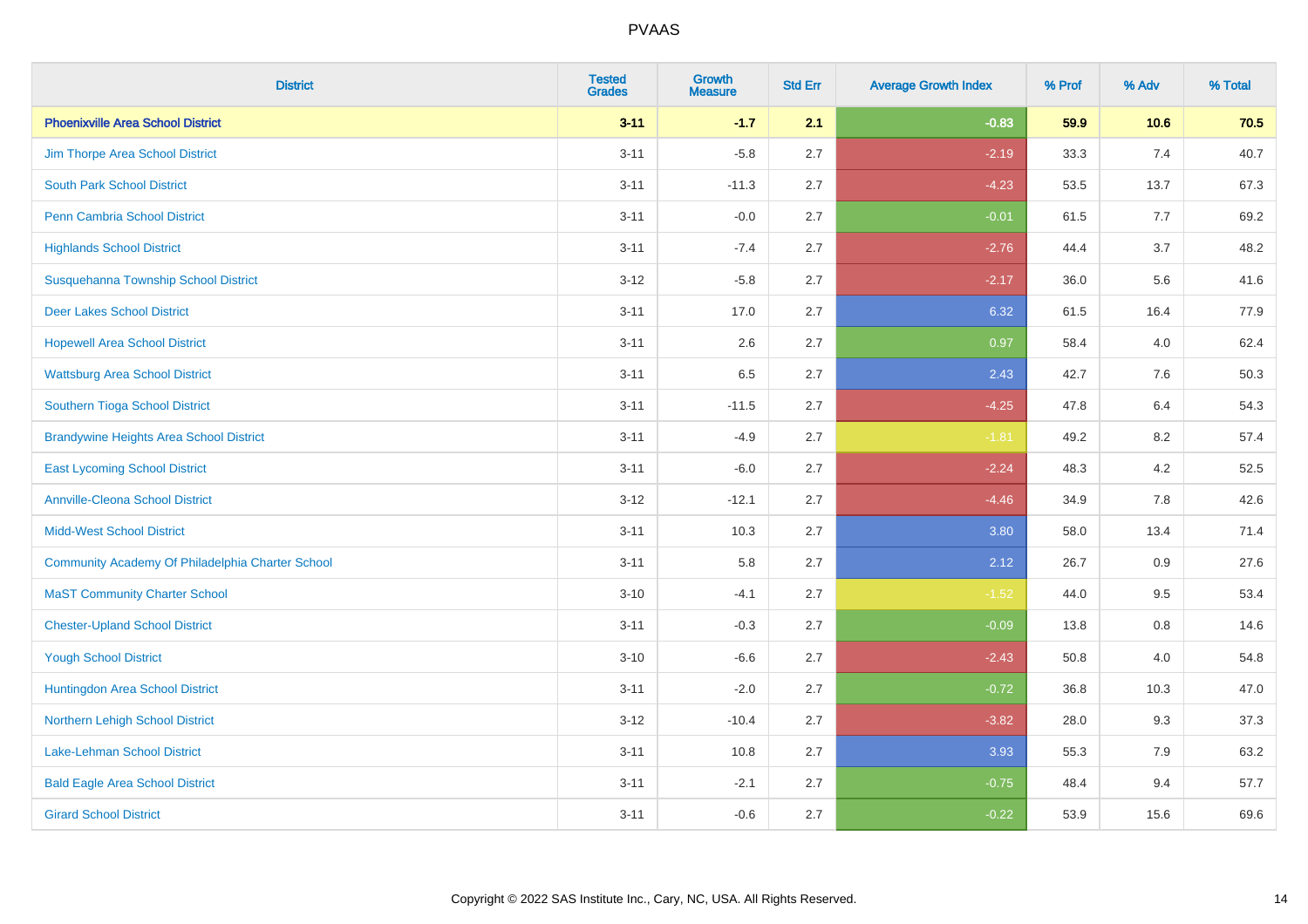| <b>District</b>                                  | <b>Tested</b><br><b>Grades</b> | <b>Growth</b><br><b>Measure</b> | <b>Std Err</b> | <b>Average Growth Index</b> | % Prof | % Adv   | % Total |
|--------------------------------------------------|--------------------------------|---------------------------------|----------------|-----------------------------|--------|---------|---------|
| <b>Phoenixville Area School District</b>         | $3 - 11$                       | $-1.7$                          | 2.1            | $-0.83$                     | 59.9   | 10.6    | 70.5    |
| Jim Thorpe Area School District                  | $3 - 11$                       | $-5.8$                          | 2.7            | $-2.19$                     | 33.3   | 7.4     | 40.7    |
| <b>South Park School District</b>                | $3 - 11$                       | $-11.3$                         | 2.7            | $-4.23$                     | 53.5   | 13.7    | 67.3    |
| Penn Cambria School District                     | $3 - 11$                       | $-0.0$                          | 2.7            | $-0.01$                     | 61.5   | 7.7     | 69.2    |
| <b>Highlands School District</b>                 | $3 - 11$                       | $-7.4$                          | 2.7            | $-2.76$                     | 44.4   | 3.7     | 48.2    |
| Susquehanna Township School District             | $3 - 12$                       | $-5.8$                          | 2.7            | $-2.17$                     | 36.0   | 5.6     | 41.6    |
| <b>Deer Lakes School District</b>                | $3 - 11$                       | 17.0                            | 2.7            | 6.32                        | 61.5   | 16.4    | 77.9    |
| <b>Hopewell Area School District</b>             | $3 - 11$                       | 2.6                             | 2.7            | 0.97                        | 58.4   | 4.0     | 62.4    |
| <b>Wattsburg Area School District</b>            | $3 - 11$                       | 6.5                             | 2.7            | 2.43                        | 42.7   | 7.6     | 50.3    |
| Southern Tioga School District                   | $3 - 11$                       | $-11.5$                         | 2.7            | $-4.25$                     | 47.8   | 6.4     | 54.3    |
| <b>Brandywine Heights Area School District</b>   | $3 - 11$                       | $-4.9$                          | 2.7            | $-1.81$                     | 49.2   | 8.2     | 57.4    |
| <b>East Lycoming School District</b>             | $3 - 11$                       | $-6.0$                          | 2.7            | $-2.24$                     | 48.3   | 4.2     | 52.5    |
| <b>Annville-Cleona School District</b>           | $3 - 12$                       | $-12.1$                         | 2.7            | $-4.46$                     | 34.9   | $7.8\,$ | 42.6    |
| <b>Midd-West School District</b>                 | $3 - 11$                       | 10.3                            | 2.7            | 3.80                        | 58.0   | 13.4    | 71.4    |
| Community Academy Of Philadelphia Charter School | $3 - 11$                       | 5.8                             | 2.7            | 2.12                        | 26.7   | 0.9     | 27.6    |
| <b>MaST Community Charter School</b>             | $3 - 10$                       | $-4.1$                          | 2.7            | $-1.52$                     | 44.0   | 9.5     | 53.4    |
| <b>Chester-Upland School District</b>            | $3 - 11$                       | $-0.3$                          | 2.7            | $-0.09$                     | 13.8   | 0.8     | 14.6    |
| <b>Yough School District</b>                     | $3 - 10$                       | $-6.6$                          | 2.7            | $-2.43$                     | 50.8   | 4.0     | 54.8    |
| Huntingdon Area School District                  | $3 - 11$                       | $-2.0$                          | 2.7            | $-0.72$                     | 36.8   | 10.3    | 47.0    |
| Northern Lehigh School District                  | $3 - 12$                       | $-10.4$                         | 2.7            | $-3.82$                     | 28.0   | 9.3     | 37.3    |
| Lake-Lehman School District                      | $3 - 11$                       | 10.8                            | 2.7            | 3.93                        | 55.3   | 7.9     | 63.2    |
| <b>Bald Eagle Area School District</b>           | $3 - 11$                       | $-2.1$                          | 2.7            | $-0.75$                     | 48.4   | 9.4     | 57.7    |
| <b>Girard School District</b>                    | $3 - 11$                       | $-0.6$                          | 2.7            | $-0.22$                     | 53.9   | 15.6    | 69.6    |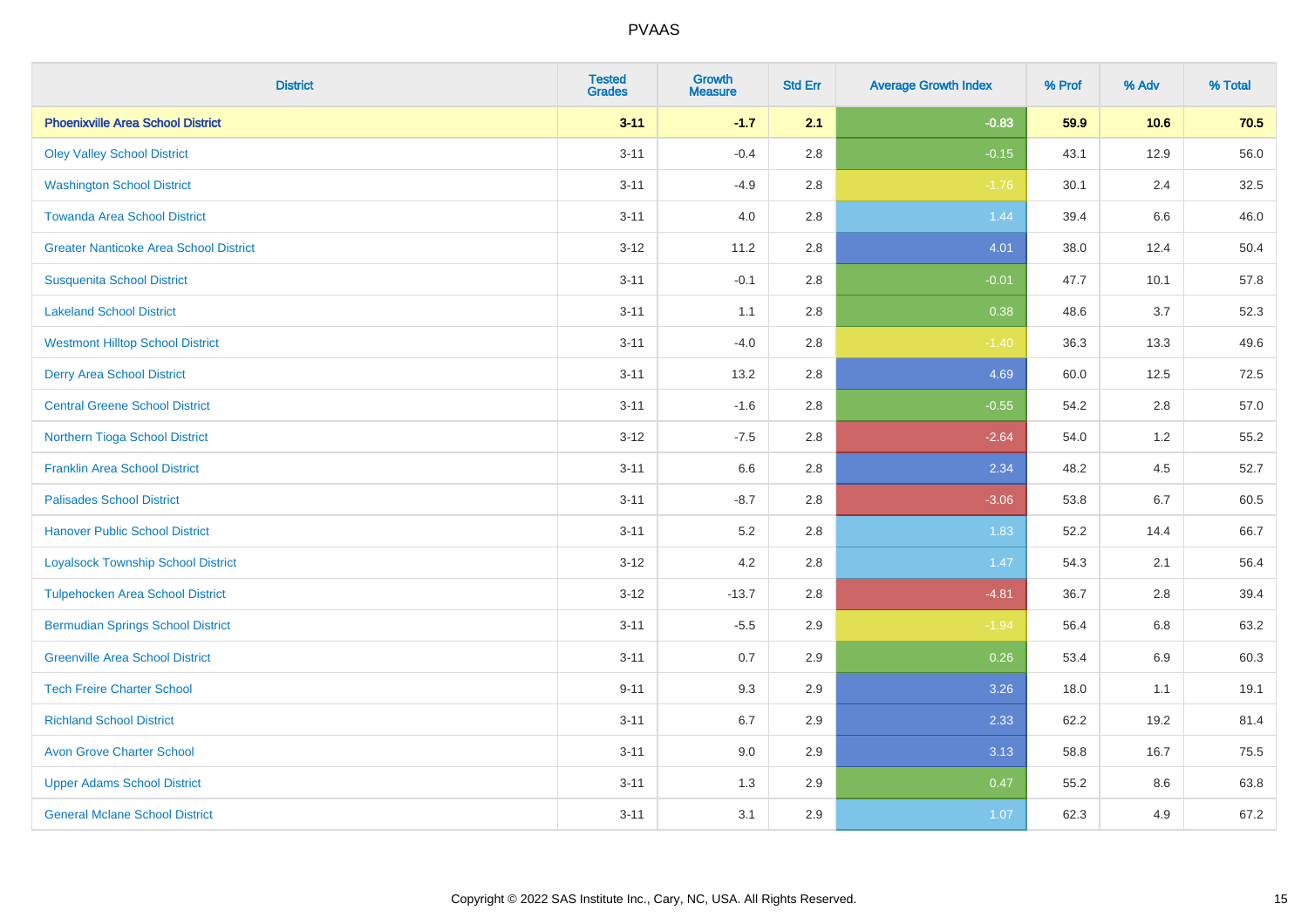| <b>District</b>                               | <b>Tested</b><br><b>Grades</b> | <b>Growth</b><br><b>Measure</b> | <b>Std Err</b> | <b>Average Growth Index</b> | % Prof | % Adv   | % Total |
|-----------------------------------------------|--------------------------------|---------------------------------|----------------|-----------------------------|--------|---------|---------|
| <b>Phoenixville Area School District</b>      | $3 - 11$                       | $-1.7$                          | 2.1            | $-0.83$                     | 59.9   | 10.6    | 70.5    |
| <b>Oley Valley School District</b>            | $3 - 11$                       | $-0.4$                          | 2.8            | $-0.15$                     | 43.1   | 12.9    | 56.0    |
| <b>Washington School District</b>             | $3 - 11$                       | $-4.9$                          | 2.8            | $-1.76$                     | 30.1   | 2.4     | 32.5    |
| <b>Towanda Area School District</b>           | $3 - 11$                       | $4.0\,$                         | 2.8            | 1.44                        | 39.4   | $6.6\,$ | 46.0    |
| <b>Greater Nanticoke Area School District</b> | $3 - 12$                       | 11.2                            | 2.8            | 4.01                        | 38.0   | 12.4    | 50.4    |
| <b>Susquenita School District</b>             | $3 - 11$                       | $-0.1$                          | 2.8            | $-0.01$                     | 47.7   | 10.1    | 57.8    |
| <b>Lakeland School District</b>               | $3 - 11$                       | 1.1                             | 2.8            | 0.38                        | 48.6   | 3.7     | 52.3    |
| <b>Westmont Hilltop School District</b>       | $3 - 11$                       | $-4.0$                          | 2.8            | $-1.40$                     | 36.3   | 13.3    | 49.6    |
| <b>Derry Area School District</b>             | $3 - 11$                       | 13.2                            | 2.8            | 4.69                        | 60.0   | 12.5    | 72.5    |
| <b>Central Greene School District</b>         | $3 - 11$                       | $-1.6$                          | 2.8            | $-0.55$                     | 54.2   | 2.8     | 57.0    |
| Northern Tioga School District                | $3 - 12$                       | $-7.5$                          | 2.8            | $-2.64$                     | 54.0   | 1.2     | 55.2    |
| <b>Franklin Area School District</b>          | $3 - 11$                       | 6.6                             | 2.8            | 2.34                        | 48.2   | 4.5     | 52.7    |
| <b>Palisades School District</b>              | $3 - 11$                       | $-8.7$                          | 2.8            | $-3.06$                     | 53.8   | 6.7     | 60.5    |
| <b>Hanover Public School District</b>         | $3 - 11$                       | 5.2                             | 2.8            | 1.83                        | 52.2   | 14.4    | 66.7    |
| <b>Loyalsock Township School District</b>     | $3 - 12$                       | 4.2                             | 2.8            | 1.47                        | 54.3   | 2.1     | 56.4    |
| <b>Tulpehocken Area School District</b>       | $3 - 12$                       | $-13.7$                         | 2.8            | $-4.81$                     | 36.7   | 2.8     | 39.4    |
| <b>Bermudian Springs School District</b>      | $3 - 11$                       | $-5.5$                          | 2.9            | $-1.94$                     | 56.4   | 6.8     | 63.2    |
| <b>Greenville Area School District</b>        | $3 - 11$                       | 0.7                             | 2.9            | 0.26                        | 53.4   | 6.9     | 60.3    |
| <b>Tech Freire Charter School</b>             | $9 - 11$                       | 9.3                             | 2.9            | 3.26                        | 18.0   | 1.1     | 19.1    |
| <b>Richland School District</b>               | $3 - 11$                       | 6.7                             | 2.9            | 2.33                        | 62.2   | 19.2    | 81.4    |
| <b>Avon Grove Charter School</b>              | $3 - 11$                       | 9.0                             | 2.9            | 3.13                        | 58.8   | 16.7    | 75.5    |
| <b>Upper Adams School District</b>            | $3 - 11$                       | 1.3                             | 2.9            | 0.47                        | 55.2   | 8.6     | 63.8    |
| <b>General Mclane School District</b>         | $3 - 11$                       | 3.1                             | 2.9            | 1.07                        | 62.3   | 4.9     | 67.2    |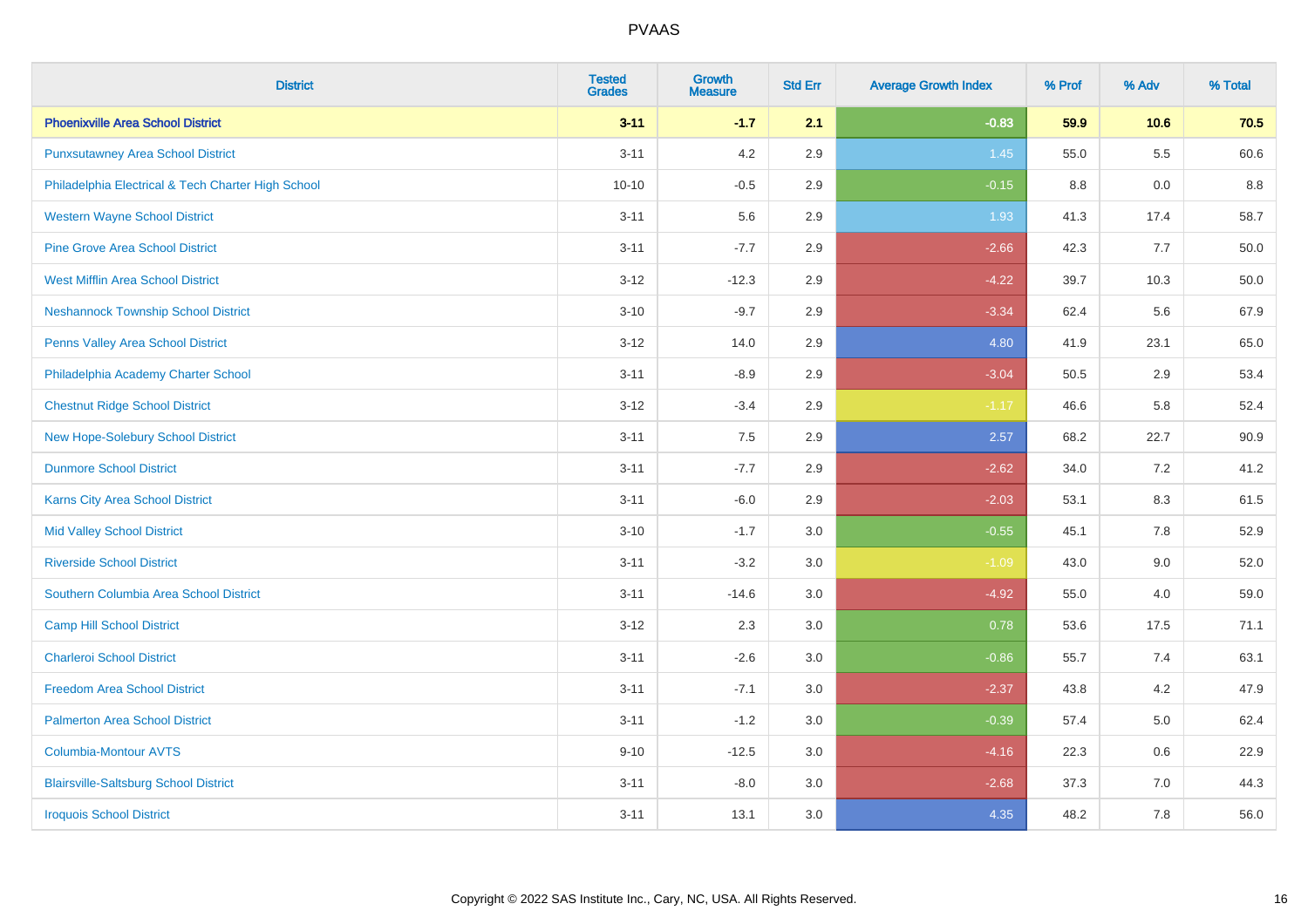| <b>District</b>                                    | <b>Tested</b><br><b>Grades</b> | <b>Growth</b><br><b>Measure</b> | <b>Std Err</b> | <b>Average Growth Index</b> | % Prof | % Adv   | % Total |
|----------------------------------------------------|--------------------------------|---------------------------------|----------------|-----------------------------|--------|---------|---------|
| <b>Phoenixville Area School District</b>           | $3 - 11$                       | $-1.7$                          | 2.1            | $-0.83$                     | 59.9   | 10.6    | 70.5    |
| <b>Punxsutawney Area School District</b>           | $3 - 11$                       | 4.2                             | 2.9            | 1.45                        | 55.0   | $5.5\,$ | 60.6    |
| Philadelphia Electrical & Tech Charter High School | $10 - 10$                      | $-0.5$                          | 2.9            | $-0.15$                     | 8.8    | 0.0     | 8.8     |
| <b>Western Wayne School District</b>               | $3 - 11$                       | 5.6                             | 2.9            | 1.93                        | 41.3   | 17.4    | 58.7    |
| <b>Pine Grove Area School District</b>             | $3 - 11$                       | $-7.7$                          | 2.9            | $-2.66$                     | 42.3   | 7.7     | 50.0    |
| <b>West Mifflin Area School District</b>           | $3 - 12$                       | $-12.3$                         | 2.9            | $-4.22$                     | 39.7   | 10.3    | 50.0    |
| <b>Neshannock Township School District</b>         | $3 - 10$                       | $-9.7$                          | 2.9            | $-3.34$                     | 62.4   | 5.6     | 67.9    |
| <b>Penns Valley Area School District</b>           | $3 - 12$                       | 14.0                            | 2.9            | 4.80                        | 41.9   | 23.1    | 65.0    |
| Philadelphia Academy Charter School                | $3 - 11$                       | $-8.9$                          | 2.9            | $-3.04$                     | 50.5   | 2.9     | 53.4    |
| <b>Chestnut Ridge School District</b>              | $3 - 12$                       | $-3.4$                          | 2.9            | $-1.17$                     | 46.6   | 5.8     | 52.4    |
| New Hope-Solebury School District                  | $3 - 11$                       | 7.5                             | 2.9            | 2.57                        | 68.2   | 22.7    | 90.9    |
| <b>Dunmore School District</b>                     | $3 - 11$                       | $-7.7$                          | 2.9            | $-2.62$                     | 34.0   | 7.2     | 41.2    |
| Karns City Area School District                    | $3 - 11$                       | $-6.0$                          | 2.9            | $-2.03$                     | 53.1   | $8.3\,$ | 61.5    |
| <b>Mid Valley School District</b>                  | $3 - 10$                       | $-1.7$                          | 3.0            | $-0.55$                     | 45.1   | $7.8\,$ | 52.9    |
| <b>Riverside School District</b>                   | $3 - 11$                       | $-3.2$                          | 3.0            | $-1.09$                     | 43.0   | 9.0     | 52.0    |
| Southern Columbia Area School District             | $3 - 11$                       | $-14.6$                         | 3.0            | $-4.92$                     | 55.0   | 4.0     | 59.0    |
| <b>Camp Hill School District</b>                   | $3 - 12$                       | 2.3                             | 3.0            | 0.78                        | 53.6   | 17.5    | 71.1    |
| <b>Charleroi School District</b>                   | $3 - 11$                       | $-2.6$                          | 3.0            | $-0.86$                     | 55.7   | 7.4     | 63.1    |
| <b>Freedom Area School District</b>                | $3 - 11$                       | $-7.1$                          | 3.0            | $-2.37$                     | 43.8   | 4.2     | 47.9    |
| <b>Palmerton Area School District</b>              | $3 - 11$                       | $-1.2$                          | 3.0            | $-0.39$                     | 57.4   | 5.0     | 62.4    |
| <b>Columbia-Montour AVTS</b>                       | $9 - 10$                       | $-12.5$                         | 3.0            | $-4.16$                     | 22.3   | 0.6     | 22.9    |
| <b>Blairsville-Saltsburg School District</b>       | $3 - 11$                       | $-8.0$                          | 3.0            | $-2.68$                     | 37.3   | 7.0     | 44.3    |
| <b>Iroquois School District</b>                    | $3 - 11$                       | 13.1                            | 3.0            | 4.35                        | 48.2   | 7.8     | 56.0    |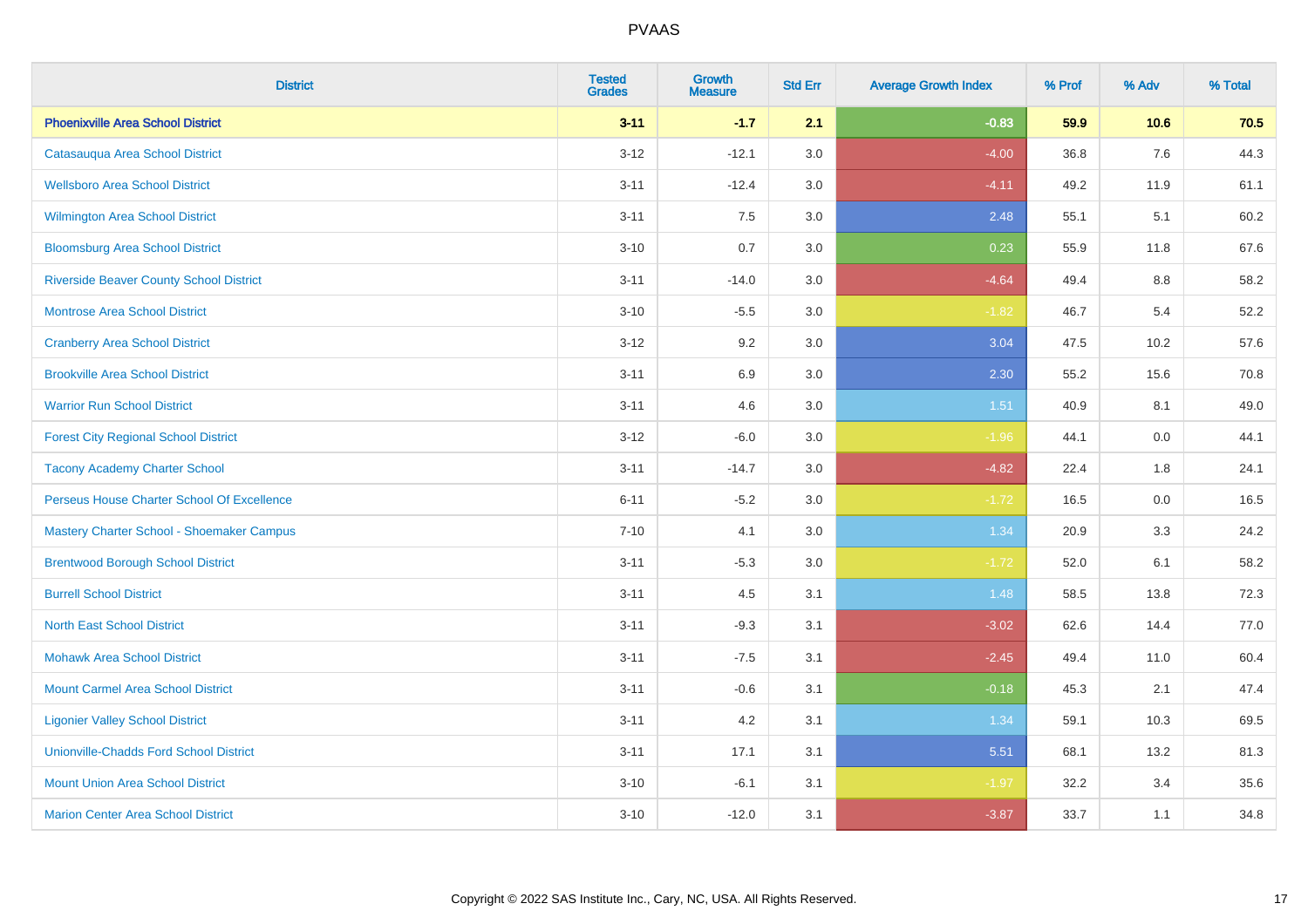| <b>District</b>                                | <b>Tested</b><br><b>Grades</b> | <b>Growth</b><br><b>Measure</b> | <b>Std Err</b> | <b>Average Growth Index</b> | % Prof | % Adv | % Total |
|------------------------------------------------|--------------------------------|---------------------------------|----------------|-----------------------------|--------|-------|---------|
| <b>Phoenixville Area School District</b>       | $3 - 11$                       | $-1.7$                          | 2.1            | $-0.83$                     | 59.9   | 10.6  | 70.5    |
| Catasauqua Area School District                | $3 - 12$                       | $-12.1$                         | 3.0            | $-4.00$                     | 36.8   | 7.6   | 44.3    |
| <b>Wellsboro Area School District</b>          | $3 - 11$                       | $-12.4$                         | 3.0            | $-4.11$                     | 49.2   | 11.9  | 61.1    |
| <b>Wilmington Area School District</b>         | $3 - 11$                       | 7.5                             | 3.0            | 2.48                        | 55.1   | 5.1   | 60.2    |
| <b>Bloomsburg Area School District</b>         | $3 - 10$                       | 0.7                             | 3.0            | 0.23                        | 55.9   | 11.8  | 67.6    |
| <b>Riverside Beaver County School District</b> | $3 - 11$                       | $-14.0$                         | 3.0            | $-4.64$                     | 49.4   | 8.8   | 58.2    |
| <b>Montrose Area School District</b>           | $3 - 10$                       | $-5.5$                          | 3.0            | $-1.82$                     | 46.7   | 5.4   | 52.2    |
| <b>Cranberry Area School District</b>          | $3 - 12$                       | 9.2                             | 3.0            | 3.04                        | 47.5   | 10.2  | 57.6    |
| <b>Brookville Area School District</b>         | $3 - 11$                       | 6.9                             | 3.0            | 2.30                        | 55.2   | 15.6  | 70.8    |
| <b>Warrior Run School District</b>             | $3 - 11$                       | 4.6                             | 3.0            | 1.51                        | 40.9   | 8.1   | 49.0    |
| <b>Forest City Regional School District</b>    | $3 - 12$                       | $-6.0$                          | 3.0            | $-1.96$                     | 44.1   | 0.0   | 44.1    |
| <b>Tacony Academy Charter School</b>           | $3 - 11$                       | $-14.7$                         | 3.0            | $-4.82$                     | 22.4   | 1.8   | 24.1    |
| Perseus House Charter School Of Excellence     | $6 - 11$                       | $-5.2$                          | 3.0            | $-1.72$                     | 16.5   | 0.0   | 16.5    |
| Mastery Charter School - Shoemaker Campus      | $7 - 10$                       | 4.1                             | 3.0            | 1.34                        | 20.9   | 3.3   | 24.2    |
| <b>Brentwood Borough School District</b>       | $3 - 11$                       | $-5.3$                          | 3.0            | $-1.72$                     | 52.0   | 6.1   | 58.2    |
| <b>Burrell School District</b>                 | $3 - 11$                       | 4.5                             | 3.1            | 1.48                        | 58.5   | 13.8  | 72.3    |
| <b>North East School District</b>              | $3 - 11$                       | $-9.3$                          | 3.1            | $-3.02$                     | 62.6   | 14.4  | 77.0    |
| <b>Mohawk Area School District</b>             | $3 - 11$                       | $-7.5$                          | 3.1            | $-2.45$                     | 49.4   | 11.0  | 60.4    |
| <b>Mount Carmel Area School District</b>       | $3 - 11$                       | $-0.6$                          | 3.1            | $-0.18$                     | 45.3   | 2.1   | 47.4    |
| <b>Ligonier Valley School District</b>         | $3 - 11$                       | 4.2                             | 3.1            | 1.34                        | 59.1   | 10.3  | 69.5    |
| <b>Unionville-Chadds Ford School District</b>  | $3 - 11$                       | 17.1                            | 3.1            | 5.51                        | 68.1   | 13.2  | 81.3    |
| <b>Mount Union Area School District</b>        | $3 - 10$                       | $-6.1$                          | 3.1            | $-1.97$                     | 32.2   | 3.4   | 35.6    |
| <b>Marion Center Area School District</b>      | $3 - 10$                       | $-12.0$                         | 3.1            | $-3.87$                     | 33.7   | 1.1   | 34.8    |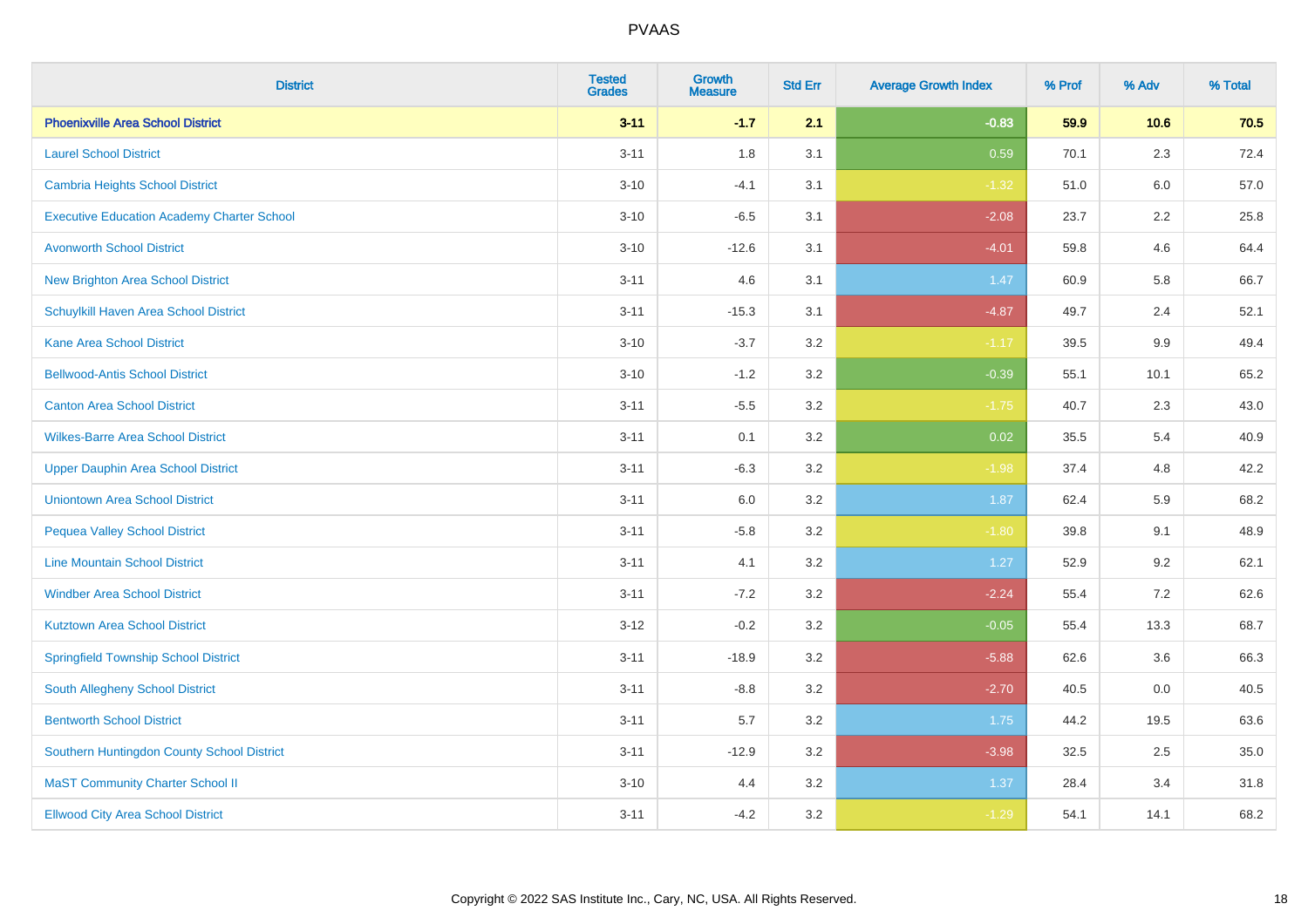| <b>District</b>                                   | <b>Tested</b><br><b>Grades</b> | <b>Growth</b><br><b>Measure</b> | <b>Std Err</b> | <b>Average Growth Index</b> | % Prof | % Adv   | % Total |
|---------------------------------------------------|--------------------------------|---------------------------------|----------------|-----------------------------|--------|---------|---------|
| <b>Phoenixville Area School District</b>          | $3 - 11$                       | $-1.7$                          | 2.1            | $-0.83$                     | 59.9   | 10.6    | 70.5    |
| <b>Laurel School District</b>                     | $3 - 11$                       | 1.8                             | 3.1            | 0.59                        | 70.1   | 2.3     | 72.4    |
| Cambria Heights School District                   | $3 - 10$                       | $-4.1$                          | 3.1            | $-1.32$                     | 51.0   | 6.0     | 57.0    |
| <b>Executive Education Academy Charter School</b> | $3 - 10$                       | $-6.5$                          | 3.1            | $-2.08$                     | 23.7   | $2.2\,$ | 25.8    |
| <b>Avonworth School District</b>                  | $3 - 10$                       | $-12.6$                         | 3.1            | $-4.01$                     | 59.8   | 4.6     | 64.4    |
| <b>New Brighton Area School District</b>          | $3 - 11$                       | 4.6                             | 3.1            | 1.47                        | 60.9   | 5.8     | 66.7    |
| Schuylkill Haven Area School District             | $3 - 11$                       | $-15.3$                         | 3.1            | $-4.87$                     | 49.7   | 2.4     | 52.1    |
| <b>Kane Area School District</b>                  | $3 - 10$                       | $-3.7$                          | 3.2            | $-1.17$                     | 39.5   | 9.9     | 49.4    |
| <b>Bellwood-Antis School District</b>             | $3 - 10$                       | $-1.2$                          | 3.2            | $-0.39$                     | 55.1   | 10.1    | 65.2    |
| <b>Canton Area School District</b>                | $3 - 11$                       | $-5.5$                          | 3.2            | $-1.75$                     | 40.7   | 2.3     | 43.0    |
| <b>Wilkes-Barre Area School District</b>          | $3 - 11$                       | 0.1                             | 3.2            | 0.02                        | 35.5   | 5.4     | 40.9    |
| <b>Upper Dauphin Area School District</b>         | $3 - 11$                       | $-6.3$                          | 3.2            | $-1.98$                     | 37.4   | 4.8     | 42.2    |
| <b>Uniontown Area School District</b>             | $3 - 11$                       | 6.0                             | 3.2            | 1.87                        | 62.4   | 5.9     | 68.2    |
| <b>Pequea Valley School District</b>              | $3 - 11$                       | $-5.8$                          | 3.2            | $-1.80$                     | 39.8   | 9.1     | 48.9    |
| <b>Line Mountain School District</b>              | $3 - 11$                       | 4.1                             | 3.2            | 1.27                        | 52.9   | 9.2     | 62.1    |
| <b>Windber Area School District</b>               | $3 - 11$                       | $-7.2$                          | 3.2            | $-2.24$                     | 55.4   | 7.2     | 62.6    |
| <b>Kutztown Area School District</b>              | $3 - 12$                       | $-0.2$                          | 3.2            | $-0.05$                     | 55.4   | 13.3    | 68.7    |
| <b>Springfield Township School District</b>       | $3 - 11$                       | $-18.9$                         | 3.2            | $-5.88$                     | 62.6   | 3.6     | 66.3    |
| South Allegheny School District                   | $3 - 11$                       | $-8.8$                          | 3.2            | $-2.70$                     | 40.5   | 0.0     | 40.5    |
| <b>Bentworth School District</b>                  | $3 - 11$                       | 5.7                             | 3.2            | 1.75                        | 44.2   | 19.5    | 63.6    |
| Southern Huntingdon County School District        | $3 - 11$                       | $-12.9$                         | 3.2            | $-3.98$                     | 32.5   | 2.5     | 35.0    |
| <b>MaST Community Charter School II</b>           | $3 - 10$                       | 4.4                             | 3.2            | 1.37                        | 28.4   | 3.4     | 31.8    |
| <b>Ellwood City Area School District</b>          | $3 - 11$                       | $-4.2$                          | 3.2            | $-1.29$                     | 54.1   | 14.1    | 68.2    |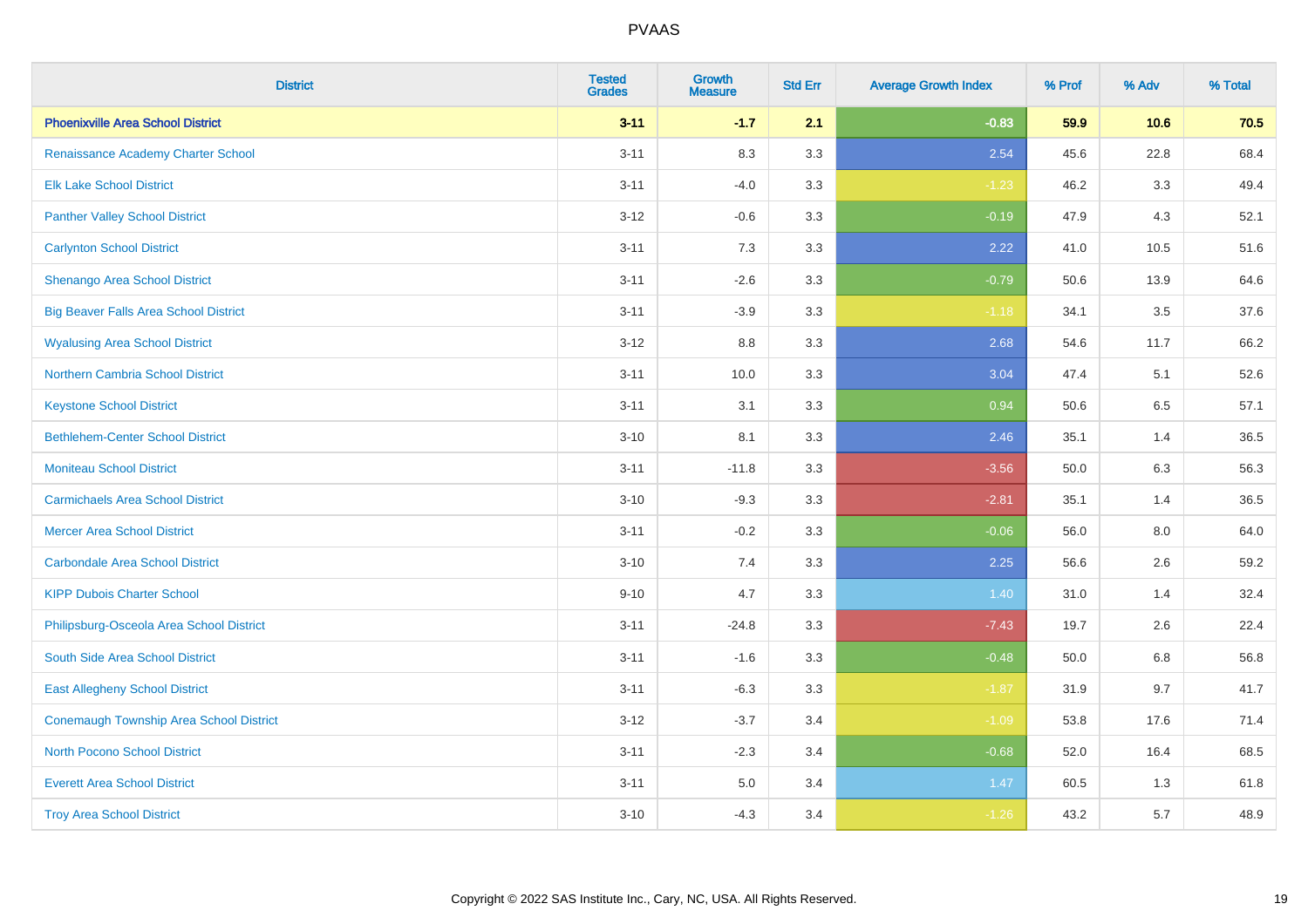| <b>District</b>                              | <b>Tested</b><br><b>Grades</b> | <b>Growth</b><br><b>Measure</b> | <b>Std Err</b> | <b>Average Growth Index</b> | % Prof | % Adv   | % Total |
|----------------------------------------------|--------------------------------|---------------------------------|----------------|-----------------------------|--------|---------|---------|
| <b>Phoenixville Area School District</b>     | $3 - 11$                       | $-1.7$                          | 2.1            | $-0.83$                     | 59.9   | 10.6    | 70.5    |
| Renaissance Academy Charter School           | $3 - 11$                       | 8.3                             | 3.3            | 2.54                        | 45.6   | 22.8    | 68.4    |
| <b>Elk Lake School District</b>              | $3 - 11$                       | $-4.0$                          | 3.3            | $-1.23$                     | 46.2   | 3.3     | 49.4    |
| <b>Panther Valley School District</b>        | $3 - 12$                       | $-0.6$                          | 3.3            | $-0.19$                     | 47.9   | 4.3     | 52.1    |
| <b>Carlynton School District</b>             | $3 - 11$                       | 7.3                             | 3.3            | 2.22                        | 41.0   | 10.5    | 51.6    |
| <b>Shenango Area School District</b>         | $3 - 11$                       | $-2.6$                          | 3.3            | $-0.79$                     | 50.6   | 13.9    | 64.6    |
| <b>Big Beaver Falls Area School District</b> | $3 - 11$                       | $-3.9$                          | 3.3            | $-1.18$                     | 34.1   | 3.5     | 37.6    |
| <b>Wyalusing Area School District</b>        | $3 - 12$                       | $8.8\,$                         | 3.3            | 2.68                        | 54.6   | 11.7    | 66.2    |
| <b>Northern Cambria School District</b>      | $3 - 11$                       | 10.0                            | 3.3            | 3.04                        | 47.4   | 5.1     | 52.6    |
| <b>Keystone School District</b>              | $3 - 11$                       | 3.1                             | 3.3            | 0.94                        | 50.6   | 6.5     | 57.1    |
| <b>Bethlehem-Center School District</b>      | $3 - 10$                       | 8.1                             | 3.3            | 2.46                        | 35.1   | 1.4     | 36.5    |
| <b>Moniteau School District</b>              | $3 - 11$                       | $-11.8$                         | 3.3            | $-3.56$                     | 50.0   | 6.3     | 56.3    |
| <b>Carmichaels Area School District</b>      | $3 - 10$                       | $-9.3$                          | 3.3            | $-2.81$                     | 35.1   | 1.4     | 36.5    |
| <b>Mercer Area School District</b>           | $3 - 11$                       | $-0.2$                          | 3.3            | $-0.06$                     | 56.0   | $8.0\,$ | 64.0    |
| <b>Carbondale Area School District</b>       | $3 - 10$                       | 7.4                             | 3.3            | 2.25                        | 56.6   | 2.6     | 59.2    |
| <b>KIPP Dubois Charter School</b>            | $9 - 10$                       | 4.7                             | 3.3            | 1.40                        | 31.0   | 1.4     | 32.4    |
| Philipsburg-Osceola Area School District     | $3 - 11$                       | $-24.8$                         | 3.3            | $-7.43$                     | 19.7   | 2.6     | 22.4    |
| South Side Area School District              | $3 - 11$                       | $-1.6$                          | 3.3            | $-0.48$                     | 50.0   | 6.8     | 56.8    |
| <b>East Allegheny School District</b>        | $3 - 11$                       | $-6.3$                          | 3.3            | $-1.87$                     | 31.9   | 9.7     | 41.7    |
| Conemaugh Township Area School District      | $3 - 12$                       | $-3.7$                          | 3.4            | $-1.09$                     | 53.8   | 17.6    | 71.4    |
| <b>North Pocono School District</b>          | $3 - 11$                       | $-2.3$                          | 3.4            | $-0.68$                     | 52.0   | 16.4    | 68.5    |
| <b>Everett Area School District</b>          | $3 - 11$                       | 5.0                             | 3.4            | 1.47                        | 60.5   | 1.3     | 61.8    |
| <b>Troy Area School District</b>             | $3 - 10$                       | $-4.3$                          | 3.4            | $-1.26$                     | 43.2   | 5.7     | 48.9    |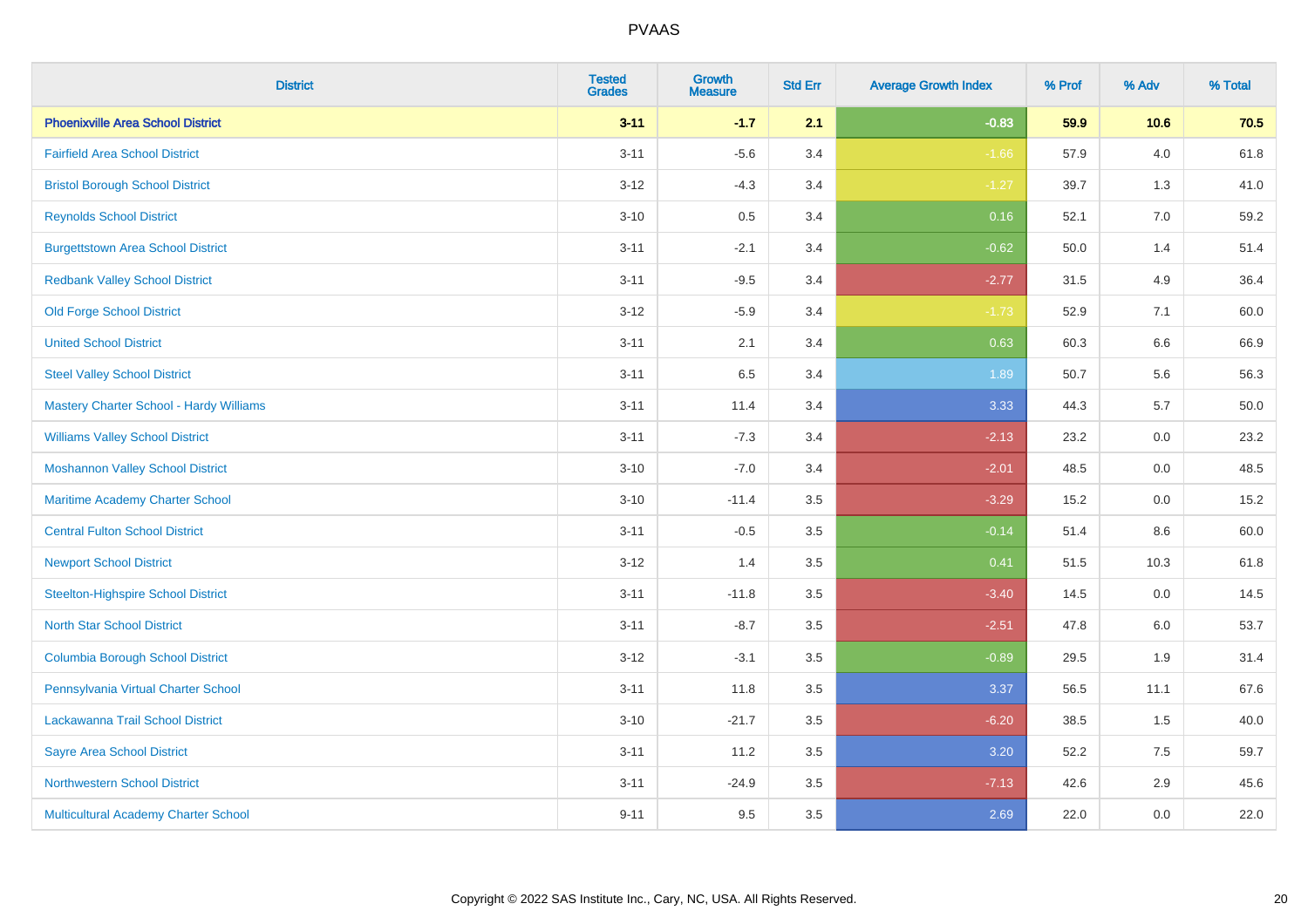| <b>District</b>                                | <b>Tested</b><br><b>Grades</b> | <b>Growth</b><br><b>Measure</b> | <b>Std Err</b> | <b>Average Growth Index</b> | % Prof | % Adv   | % Total |
|------------------------------------------------|--------------------------------|---------------------------------|----------------|-----------------------------|--------|---------|---------|
| <b>Phoenixville Area School District</b>       | $3 - 11$                       | $-1.7$                          | 2.1            | $-0.83$                     | 59.9   | 10.6    | 70.5    |
| <b>Fairfield Area School District</b>          | $3 - 11$                       | $-5.6$                          | 3.4            | $-1.66$                     | 57.9   | $4.0\,$ | 61.8    |
| <b>Bristol Borough School District</b>         | $3-12$                         | $-4.3$                          | 3.4            | $-1.27$                     | 39.7   | 1.3     | 41.0    |
| <b>Reynolds School District</b>                | $3 - 10$                       | 0.5                             | 3.4            | 0.16                        | 52.1   | 7.0     | 59.2    |
| <b>Burgettstown Area School District</b>       | $3 - 11$                       | $-2.1$                          | 3.4            | $-0.62$                     | 50.0   | 1.4     | 51.4    |
| <b>Redbank Valley School District</b>          | $3 - 11$                       | $-9.5$                          | 3.4            | $-2.77$                     | 31.5   | 4.9     | 36.4    |
| <b>Old Forge School District</b>               | $3 - 12$                       | $-5.9$                          | 3.4            | $-1.73$                     | 52.9   | 7.1     | 60.0    |
| <b>United School District</b>                  | $3 - 11$                       | 2.1                             | 3.4            | 0.63                        | 60.3   | 6.6     | 66.9    |
| <b>Steel Valley School District</b>            | $3 - 11$                       | 6.5                             | 3.4            | 1.89                        | 50.7   | 5.6     | 56.3    |
| <b>Mastery Charter School - Hardy Williams</b> | $3 - 11$                       | 11.4                            | 3.4            | 3.33                        | 44.3   | 5.7     | 50.0    |
| <b>Williams Valley School District</b>         | $3 - 11$                       | $-7.3$                          | 3.4            | $-2.13$                     | 23.2   | 0.0     | 23.2    |
| <b>Moshannon Valley School District</b>        | $3 - 10$                       | $-7.0$                          | 3.4            | $-2.01$                     | 48.5   | 0.0     | 48.5    |
| Maritime Academy Charter School                | $3 - 10$                       | $-11.4$                         | 3.5            | $-3.29$                     | 15.2   | $0.0\,$ | 15.2    |
| <b>Central Fulton School District</b>          | $3 - 11$                       | $-0.5$                          | 3.5            | $-0.14$                     | 51.4   | 8.6     | 60.0    |
| <b>Newport School District</b>                 | $3 - 12$                       | 1.4                             | 3.5            | 0.41                        | 51.5   | 10.3    | 61.8    |
| <b>Steelton-Highspire School District</b>      | $3 - 11$                       | $-11.8$                         | 3.5            | $-3.40$                     | 14.5   | $0.0\,$ | 14.5    |
| <b>North Star School District</b>              | $3 - 11$                       | $-8.7$                          | 3.5            | $-2.51$                     | 47.8   | 6.0     | 53.7    |
| <b>Columbia Borough School District</b>        | $3 - 12$                       | $-3.1$                          | 3.5            | $-0.89$                     | 29.5   | 1.9     | 31.4    |
| Pennsylvania Virtual Charter School            | $3 - 11$                       | 11.8                            | 3.5            | 3.37                        | 56.5   | 11.1    | 67.6    |
| Lackawanna Trail School District               | $3 - 10$                       | $-21.7$                         | 3.5            | $-6.20$                     | 38.5   | 1.5     | 40.0    |
| <b>Sayre Area School District</b>              | $3 - 11$                       | 11.2                            | 3.5            | 3.20                        | 52.2   | 7.5     | 59.7    |
| <b>Northwestern School District</b>            | $3 - 11$                       | $-24.9$                         | 3.5            | $-7.13$                     | 42.6   | 2.9     | 45.6    |
| Multicultural Academy Charter School           | $9 - 11$                       | 9.5                             | 3.5            | 2.69                        | 22.0   | 0.0     | 22.0    |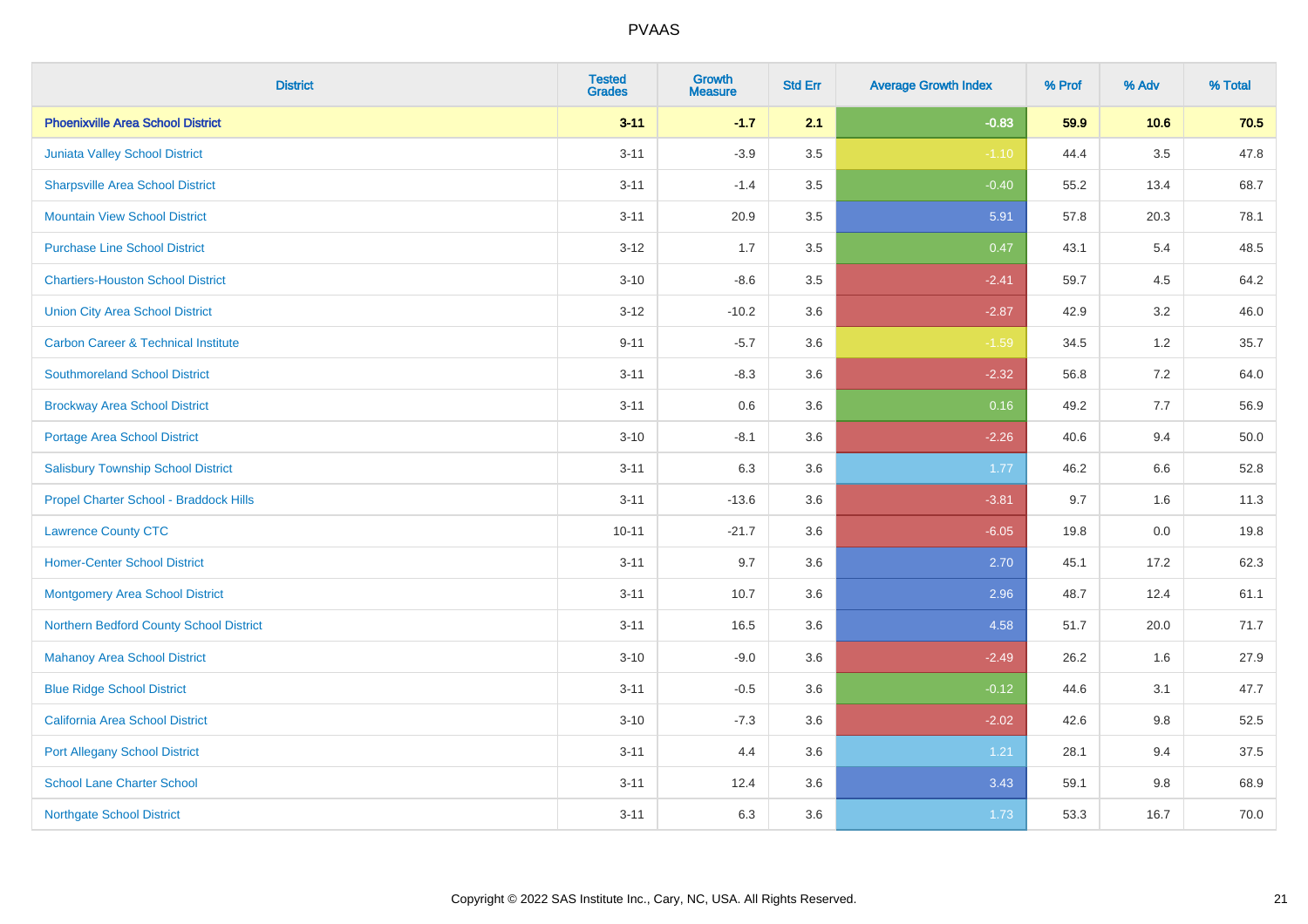| <b>District</b>                                | <b>Tested</b><br><b>Grades</b> | <b>Growth</b><br><b>Measure</b> | <b>Std Err</b> | <b>Average Growth Index</b> | % Prof | % Adv   | % Total |
|------------------------------------------------|--------------------------------|---------------------------------|----------------|-----------------------------|--------|---------|---------|
| <b>Phoenixville Area School District</b>       | $3 - 11$                       | $-1.7$                          | 2.1            | $-0.83$                     | 59.9   | 10.6    | 70.5    |
| Juniata Valley School District                 | $3 - 11$                       | $-3.9$                          | $3.5\,$        | $-1.10$                     | 44.4   | $3.5\,$ | 47.8    |
| <b>Sharpsville Area School District</b>        | $3 - 11$                       | $-1.4$                          | 3.5            | $-0.40$                     | 55.2   | 13.4    | 68.7    |
| <b>Mountain View School District</b>           | $3 - 11$                       | 20.9                            | 3.5            | 5.91                        | 57.8   | 20.3    | 78.1    |
| <b>Purchase Line School District</b>           | $3 - 12$                       | 1.7                             | 3.5            | 0.47                        | 43.1   | 5.4     | 48.5    |
| <b>Chartiers-Houston School District</b>       | $3 - 10$                       | $-8.6$                          | 3.5            | $-2.41$                     | 59.7   | 4.5     | 64.2    |
| <b>Union City Area School District</b>         | $3 - 12$                       | $-10.2$                         | 3.6            | $-2.87$                     | 42.9   | 3.2     | 46.0    |
| <b>Carbon Career &amp; Technical Institute</b> | $9 - 11$                       | $-5.7$                          | 3.6            | $-1.59$                     | 34.5   | $1.2$   | 35.7    |
| <b>Southmoreland School District</b>           | $3 - 11$                       | $-8.3$                          | 3.6            | $-2.32$                     | 56.8   | 7.2     | 64.0    |
| <b>Brockway Area School District</b>           | $3 - 11$                       | 0.6                             | 3.6            | 0.16                        | 49.2   | 7.7     | 56.9    |
| Portage Area School District                   | $3 - 10$                       | $-8.1$                          | 3.6            | $-2.26$                     | 40.6   | 9.4     | 50.0    |
| <b>Salisbury Township School District</b>      | $3 - 11$                       | 6.3                             | 3.6            | 1.77                        | 46.2   | 6.6     | 52.8    |
| Propel Charter School - Braddock Hills         | $3 - 11$                       | $-13.6$                         | 3.6            | $-3.81$                     | 9.7    | 1.6     | 11.3    |
| <b>Lawrence County CTC</b>                     | $10 - 11$                      | $-21.7$                         | 3.6            | $-6.05$                     | 19.8   | $0.0\,$ | 19.8    |
| <b>Homer-Center School District</b>            | $3 - 11$                       | 9.7                             | 3.6            | 2.70                        | 45.1   | 17.2    | 62.3    |
| <b>Montgomery Area School District</b>         | $3 - 11$                       | 10.7                            | 3.6            | 2.96                        | 48.7   | 12.4    | 61.1    |
| Northern Bedford County School District        | $3 - 11$                       | 16.5                            | 3.6            | 4.58                        | 51.7   | 20.0    | 71.7    |
| <b>Mahanoy Area School District</b>            | $3 - 10$                       | $-9.0$                          | 3.6            | $-2.49$                     | 26.2   | 1.6     | 27.9    |
| <b>Blue Ridge School District</b>              | $3 - 11$                       | $-0.5$                          | 3.6            | $-0.12$                     | 44.6   | 3.1     | 47.7    |
| California Area School District                | $3 - 10$                       | $-7.3$                          | 3.6            | $-2.02$                     | 42.6   | 9.8     | 52.5    |
| <b>Port Allegany School District</b>           | $3 - 11$                       | 4.4                             | 3.6            | 1.21                        | 28.1   | 9.4     | 37.5    |
| <b>School Lane Charter School</b>              | $3 - 11$                       | 12.4                            | 3.6            | 3.43                        | 59.1   | $9.8\,$ | 68.9    |
| <b>Northgate School District</b>               | $3 - 11$                       | 6.3                             | 3.6            | 1.73                        | 53.3   | 16.7    | 70.0    |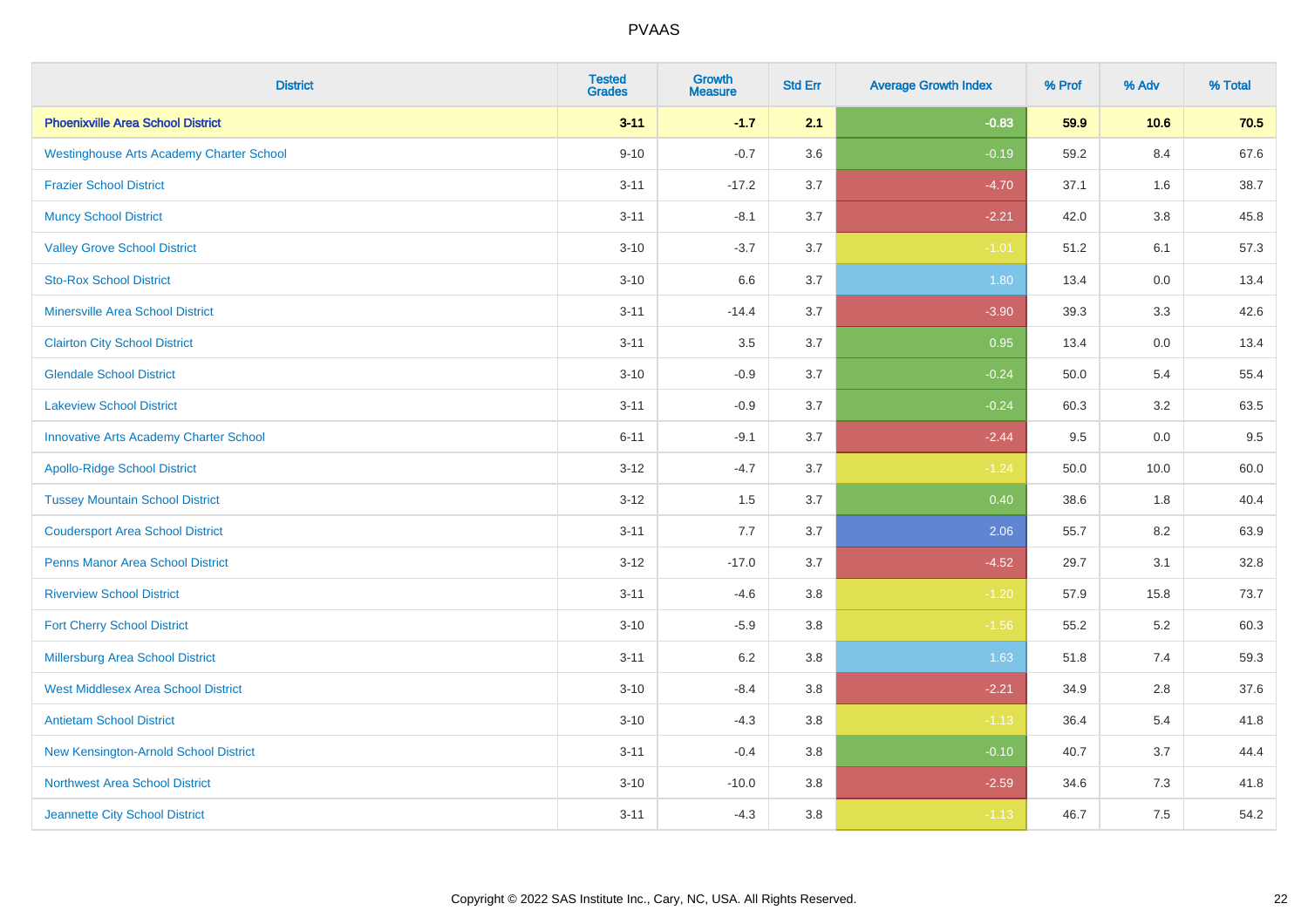| <b>District</b>                                 | <b>Tested</b><br><b>Grades</b> | <b>Growth</b><br><b>Measure</b> | <b>Std Err</b> | <b>Average Growth Index</b> | % Prof | % Adv   | % Total |
|-------------------------------------------------|--------------------------------|---------------------------------|----------------|-----------------------------|--------|---------|---------|
| <b>Phoenixville Area School District</b>        | $3 - 11$                       | $-1.7$                          | 2.1            | $-0.83$                     | 59.9   | 10.6    | 70.5    |
| <b>Westinghouse Arts Academy Charter School</b> | $9 - 10$                       | $-0.7$                          | 3.6            | $-0.19$                     | 59.2   | 8.4     | 67.6    |
| <b>Frazier School District</b>                  | $3 - 11$                       | $-17.2$                         | 3.7            | $-4.70$                     | 37.1   | 1.6     | 38.7    |
| <b>Muncy School District</b>                    | $3 - 11$                       | $-8.1$                          | 3.7            | $-2.21$                     | 42.0   | $3.8\,$ | 45.8    |
| <b>Valley Grove School District</b>             | $3 - 10$                       | $-3.7$                          | 3.7            | $-1.01$                     | 51.2   | 6.1     | 57.3    |
| <b>Sto-Rox School District</b>                  | $3 - 10$                       | 6.6                             | 3.7            | 1.80                        | 13.4   | 0.0     | 13.4    |
| <b>Minersville Area School District</b>         | $3 - 11$                       | $-14.4$                         | 3.7            | $-3.90$                     | 39.3   | 3.3     | 42.6    |
| <b>Clairton City School District</b>            | $3 - 11$                       | 3.5                             | 3.7            | 0.95                        | 13.4   | 0.0     | 13.4    |
| <b>Glendale School District</b>                 | $3 - 10$                       | $-0.9$                          | 3.7            | $-0.24$                     | 50.0   | 5.4     | 55.4    |
| <b>Lakeview School District</b>                 | $3 - 11$                       | $-0.9$                          | 3.7            | $-0.24$                     | 60.3   | $3.2\,$ | 63.5    |
| <b>Innovative Arts Academy Charter School</b>   | $6 - 11$                       | $-9.1$                          | 3.7            | $-2.44$                     | 9.5    | 0.0     | 9.5     |
| <b>Apollo-Ridge School District</b>             | $3 - 12$                       | $-4.7$                          | 3.7            | $-1.24$                     | 50.0   | 10.0    | 60.0    |
| <b>Tussey Mountain School District</b>          | $3 - 12$                       | 1.5                             | 3.7            | 0.40                        | 38.6   | 1.8     | 40.4    |
| <b>Coudersport Area School District</b>         | $3 - 11$                       | $7.7\,$                         | 3.7            | 2.06                        | 55.7   | 8.2     | 63.9    |
| <b>Penns Manor Area School District</b>         | $3 - 12$                       | $-17.0$                         | 3.7            | $-4.52$                     | 29.7   | 3.1     | 32.8    |
| <b>Riverview School District</b>                | $3 - 11$                       | $-4.6$                          | 3.8            | $-1.20$                     | 57.9   | 15.8    | 73.7    |
| <b>Fort Cherry School District</b>              | $3 - 10$                       | $-5.9$                          | 3.8            | $-1.56$                     | 55.2   | 5.2     | 60.3    |
| Millersburg Area School District                | $3 - 11$                       | $6.2\,$                         | 3.8            | 1.63                        | 51.8   | 7.4     | 59.3    |
| <b>West Middlesex Area School District</b>      | $3 - 10$                       | $-8.4$                          | $3.8\,$        | $-2.21$                     | 34.9   | 2.8     | 37.6    |
| <b>Antietam School District</b>                 | $3 - 10$                       | $-4.3$                          | 3.8            | $-1.13$                     | 36.4   | 5.4     | 41.8    |
| New Kensington-Arnold School District           | $3 - 11$                       | $-0.4$                          | 3.8            | $-0.10$                     | 40.7   | 3.7     | 44.4    |
| Northwest Area School District                  | $3 - 10$                       | $-10.0$                         | 3.8            | $-2.59$                     | 34.6   | 7.3     | 41.8    |
| Jeannette City School District                  | $3 - 11$                       | $-4.3$                          | 3.8            | $-1.13$                     | 46.7   | 7.5     | 54.2    |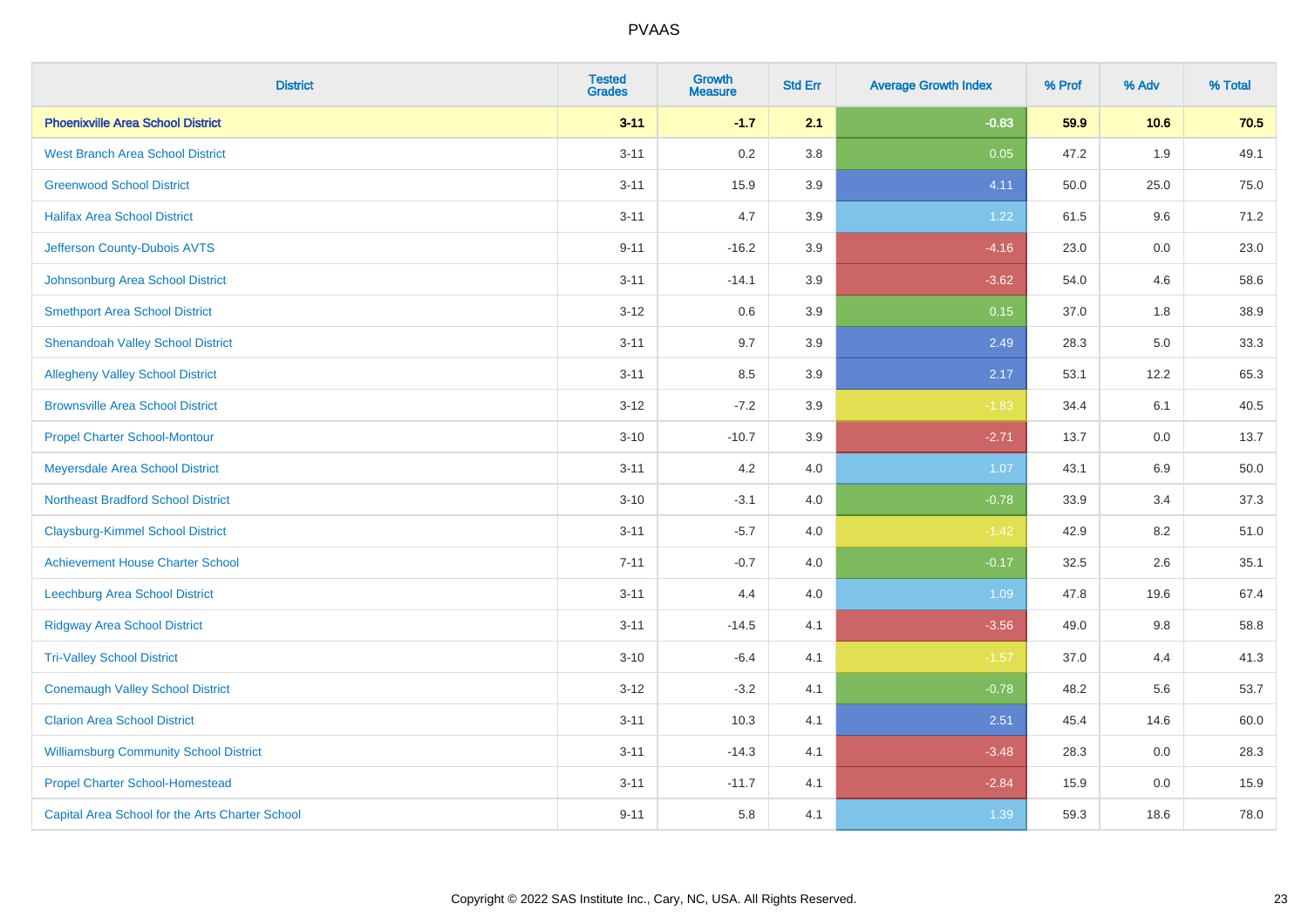| <b>District</b>                                 | <b>Tested</b><br><b>Grades</b> | <b>Growth</b><br><b>Measure</b> | <b>Std Err</b> | <b>Average Growth Index</b> | % Prof | % Adv | % Total |
|-------------------------------------------------|--------------------------------|---------------------------------|----------------|-----------------------------|--------|-------|---------|
| <b>Phoenixville Area School District</b>        | $3 - 11$                       | $-1.7$                          | 2.1            | $-0.83$                     | 59.9   | 10.6  | 70.5    |
| <b>West Branch Area School District</b>         | $3 - 11$                       | 0.2                             | 3.8            | 0.05                        | 47.2   | 1.9   | 49.1    |
| <b>Greenwood School District</b>                | $3 - 11$                       | 15.9                            | 3.9            | 4.11                        | 50.0   | 25.0  | 75.0    |
| <b>Halifax Area School District</b>             | $3 - 11$                       | 4.7                             | 3.9            | 1.22                        | 61.5   | 9.6   | 71.2    |
| Jefferson County-Dubois AVTS                    | $9 - 11$                       | $-16.2$                         | 3.9            | $-4.16$                     | 23.0   | 0.0   | 23.0    |
| Johnsonburg Area School District                | $3 - 11$                       | $-14.1$                         | 3.9            | $-3.62$                     | 54.0   | 4.6   | 58.6    |
| <b>Smethport Area School District</b>           | $3 - 12$                       | 0.6                             | 3.9            | 0.15                        | 37.0   | 1.8   | 38.9    |
| <b>Shenandoah Valley School District</b>        | $3 - 11$                       | 9.7                             | 3.9            | 2.49                        | 28.3   | 5.0   | 33.3    |
| <b>Allegheny Valley School District</b>         | $3 - 11$                       | 8.5                             | 3.9            | 2.17                        | 53.1   | 12.2  | 65.3    |
| <b>Brownsville Area School District</b>         | $3 - 12$                       | $-7.2$                          | 3.9            | $-1.83$                     | 34.4   | 6.1   | 40.5    |
| <b>Propel Charter School-Montour</b>            | $3 - 10$                       | $-10.7$                         | 3.9            | $-2.71$                     | 13.7   | 0.0   | 13.7    |
| Meyersdale Area School District                 | $3 - 11$                       | 4.2                             | 4.0            | 1.07                        | 43.1   | 6.9   | 50.0    |
| <b>Northeast Bradford School District</b>       | $3 - 10$                       | $-3.1$                          | 4.0            | $-0.78$                     | 33.9   | 3.4   | 37.3    |
| <b>Claysburg-Kimmel School District</b>         | $3 - 11$                       | $-5.7$                          | 4.0            | $-1.42$                     | 42.9   | 8.2   | 51.0    |
| <b>Achievement House Charter School</b>         | $7 - 11$                       | $-0.7$                          | 4.0            | $-0.17$                     | 32.5   | 2.6   | 35.1    |
| Leechburg Area School District                  | $3 - 11$                       | 4.4                             | 4.0            | 1.09                        | 47.8   | 19.6  | 67.4    |
| <b>Ridgway Area School District</b>             | $3 - 11$                       | $-14.5$                         | 4.1            | $-3.56$                     | 49.0   | 9.8   | 58.8    |
| <b>Tri-Valley School District</b>               | $3 - 10$                       | $-6.4$                          | 4.1            | $-1.57$                     | 37.0   | 4.4   | 41.3    |
| <b>Conemaugh Valley School District</b>         | $3 - 12$                       | $-3.2$                          | 4.1            | $-0.78$                     | 48.2   | 5.6   | 53.7    |
| <b>Clarion Area School District</b>             | $3 - 11$                       | 10.3                            | 4.1            | 2.51                        | 45.4   | 14.6  | 60.0    |
| <b>Williamsburg Community School District</b>   | $3 - 11$                       | $-14.3$                         | 4.1            | $-3.48$                     | 28.3   | 0.0   | 28.3    |
| <b>Propel Charter School-Homestead</b>          | $3 - 11$                       | $-11.7$                         | 4.1            | $-2.84$                     | 15.9   | 0.0   | 15.9    |
| Capital Area School for the Arts Charter School | $9 - 11$                       | 5.8                             | 4.1            | 1.39                        | 59.3   | 18.6  | 78.0    |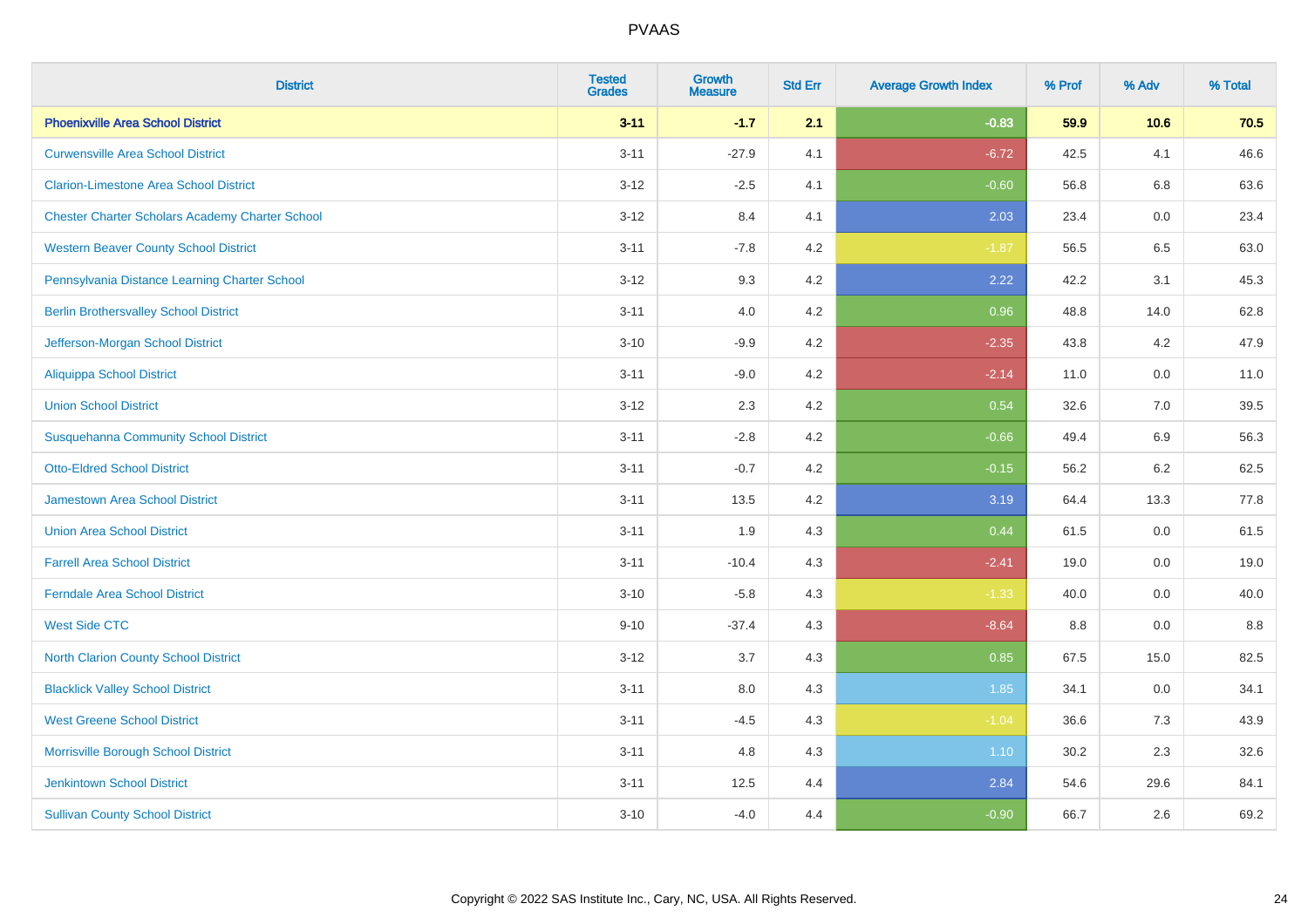| <b>District</b>                                        | <b>Tested</b><br><b>Grades</b> | <b>Growth</b><br><b>Measure</b> | <b>Std Err</b> | <b>Average Growth Index</b> | % Prof | % Adv   | % Total |
|--------------------------------------------------------|--------------------------------|---------------------------------|----------------|-----------------------------|--------|---------|---------|
| <b>Phoenixville Area School District</b>               | $3 - 11$                       | $-1.7$                          | 2.1            | $-0.83$                     | 59.9   | 10.6    | 70.5    |
| <b>Curwensville Area School District</b>               | $3 - 11$                       | $-27.9$                         | 4.1            | $-6.72$                     | 42.5   | 4.1     | 46.6    |
| <b>Clarion-Limestone Area School District</b>          | $3 - 12$                       | $-2.5$                          | 4.1            | $-0.60$                     | 56.8   | 6.8     | 63.6    |
| <b>Chester Charter Scholars Academy Charter School</b> | $3 - 12$                       | 8.4                             | 4.1            | 2.03                        | 23.4   | 0.0     | 23.4    |
| <b>Western Beaver County School District</b>           | $3 - 11$                       | $-7.8$                          | 4.2            | $-1.87$                     | 56.5   | 6.5     | 63.0    |
| Pennsylvania Distance Learning Charter School          | $3 - 12$                       | 9.3                             | 4.2            | 2.22                        | 42.2   | 3.1     | 45.3    |
| <b>Berlin Brothersvalley School District</b>           | $3 - 11$                       | 4.0                             | 4.2            | 0.96                        | 48.8   | 14.0    | 62.8    |
| Jefferson-Morgan School District                       | $3 - 10$                       | $-9.9$                          | 4.2            | $-2.35$                     | 43.8   | 4.2     | 47.9    |
| <b>Aliquippa School District</b>                       | $3 - 11$                       | $-9.0$                          | 4.2            | $-2.14$                     | 11.0   | 0.0     | 11.0    |
| <b>Union School District</b>                           | $3 - 12$                       | 2.3                             | 4.2            | 0.54                        | 32.6   | 7.0     | 39.5    |
| <b>Susquehanna Community School District</b>           | $3 - 11$                       | $-2.8$                          | 4.2            | $-0.66$                     | 49.4   | 6.9     | 56.3    |
| <b>Otto-Eldred School District</b>                     | $3 - 11$                       | $-0.7$                          | 4.2            | $-0.15$                     | 56.2   | $6.2\,$ | 62.5    |
| <b>Jamestown Area School District</b>                  | $3 - 11$                       | 13.5                            | 4.2            | 3.19                        | 64.4   | 13.3    | 77.8    |
| <b>Union Area School District</b>                      | $3 - 11$                       | 1.9                             | 4.3            | 0.44                        | 61.5   | 0.0     | 61.5    |
| <b>Farrell Area School District</b>                    | $3 - 11$                       | $-10.4$                         | 4.3            | $-2.41$                     | 19.0   | 0.0     | 19.0    |
| <b>Ferndale Area School District</b>                   | $3 - 10$                       | $-5.8$                          | 4.3            | $-1.33$                     | 40.0   | $0.0\,$ | 40.0    |
| <b>West Side CTC</b>                                   | $9 - 10$                       | $-37.4$                         | 4.3            | $-8.64$                     | 8.8    | 0.0     | $8.8\,$ |
| <b>North Clarion County School District</b>            | $3 - 12$                       | 3.7                             | 4.3            | 0.85                        | 67.5   | 15.0    | 82.5    |
| <b>Blacklick Valley School District</b>                | $3 - 11$                       | 8.0                             | 4.3            | 1.85                        | 34.1   | 0.0     | 34.1    |
| <b>West Greene School District</b>                     | $3 - 11$                       | $-4.5$                          | 4.3            | $-1.04$                     | 36.6   | 7.3     | 43.9    |
| Morrisville Borough School District                    | $3 - 11$                       | 4.8                             | 4.3            | 1.10                        | 30.2   | 2.3     | 32.6    |
| <b>Jenkintown School District</b>                      | $3 - 11$                       | 12.5                            | 4.4            | 2.84                        | 54.6   | 29.6    | 84.1    |
| <b>Sullivan County School District</b>                 | $3 - 10$                       | $-4.0$                          | 4.4            | $-0.90$                     | 66.7   | 2.6     | 69.2    |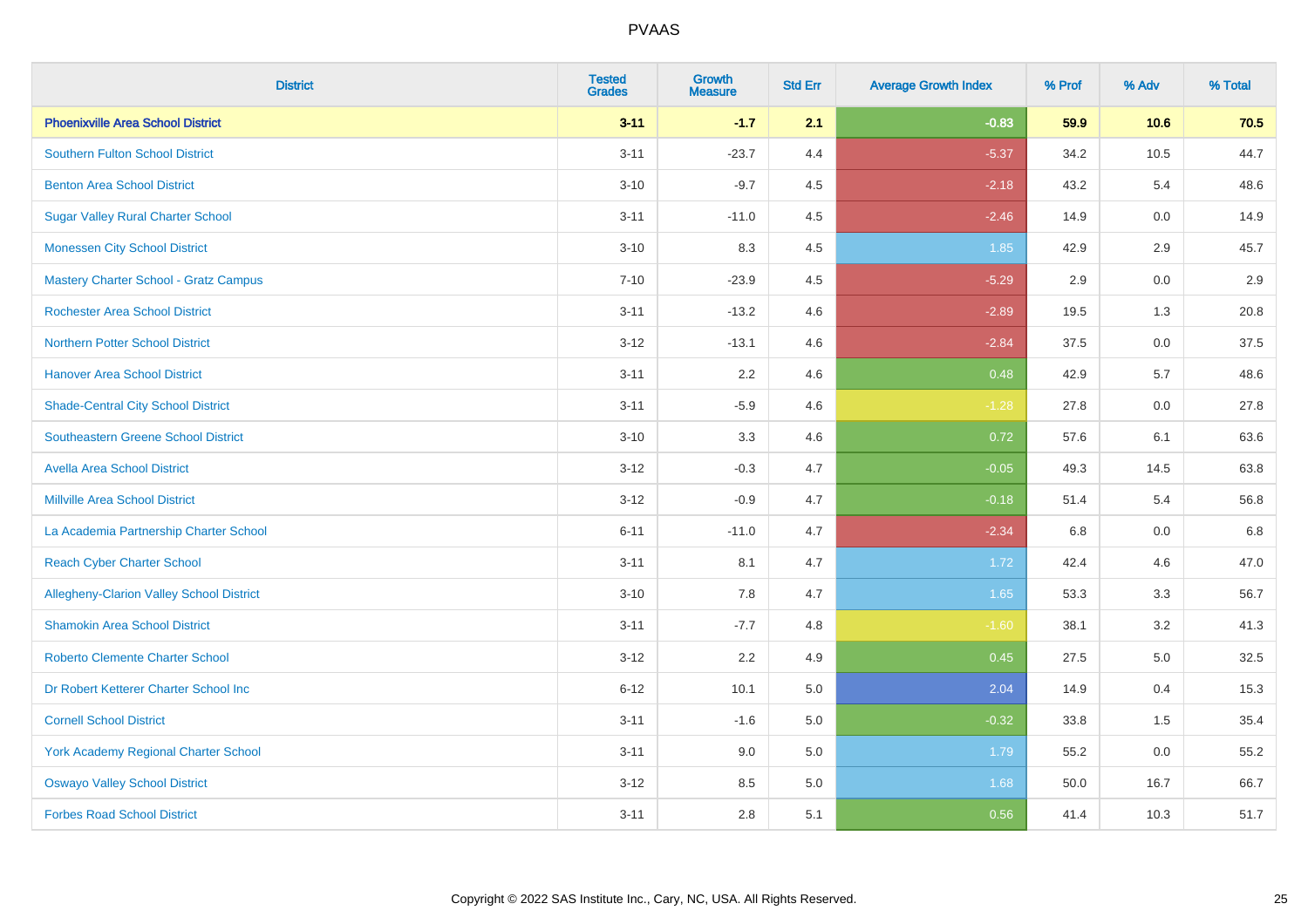| <b>District</b>                                 | <b>Tested</b><br><b>Grades</b> | <b>Growth</b><br><b>Measure</b> | <b>Std Err</b> | <b>Average Growth Index</b> | % Prof | % Adv   | % Total |
|-------------------------------------------------|--------------------------------|---------------------------------|----------------|-----------------------------|--------|---------|---------|
| <b>Phoenixville Area School District</b>        | $3 - 11$                       | $-1.7$                          | 2.1            | $-0.83$                     | 59.9   | 10.6    | 70.5    |
| <b>Southern Fulton School District</b>          | $3 - 11$                       | $-23.7$                         | 4.4            | $-5.37$                     | 34.2   | 10.5    | 44.7    |
| <b>Benton Area School District</b>              | $3 - 10$                       | $-9.7$                          | 4.5            | $-2.18$                     | 43.2   | 5.4     | 48.6    |
| <b>Sugar Valley Rural Charter School</b>        | $3 - 11$                       | $-11.0$                         | 4.5            | $-2.46$                     | 14.9   | $0.0\,$ | 14.9    |
| <b>Monessen City School District</b>            | $3 - 10$                       | 8.3                             | 4.5            | 1.85                        | 42.9   | 2.9     | 45.7    |
| <b>Mastery Charter School - Gratz Campus</b>    | $7 - 10$                       | $-23.9$                         | 4.5            | $-5.29$                     | 2.9    | 0.0     | 2.9     |
| <b>Rochester Area School District</b>           | $3 - 11$                       | $-13.2$                         | 4.6            | $-2.89$                     | 19.5   | 1.3     | 20.8    |
| <b>Northern Potter School District</b>          | $3 - 12$                       | $-13.1$                         | 4.6            | $-2.84$                     | 37.5   | 0.0     | 37.5    |
| <b>Hanover Area School District</b>             | $3 - 11$                       | 2.2                             | 4.6            | 0.48                        | 42.9   | 5.7     | 48.6    |
| <b>Shade-Central City School District</b>       | $3 - 11$                       | $-5.9$                          | 4.6            | $-1.28$                     | 27.8   | 0.0     | 27.8    |
| <b>Southeastern Greene School District</b>      | $3 - 10$                       | 3.3                             | 4.6            | 0.72                        | 57.6   | 6.1     | 63.6    |
| <b>Avella Area School District</b>              | $3 - 12$                       | $-0.3$                          | 4.7            | $-0.05$                     | 49.3   | 14.5    | 63.8    |
| <b>Millville Area School District</b>           | $3 - 12$                       | $-0.9$                          | 4.7            | $-0.18$                     | 51.4   | 5.4     | 56.8    |
| La Academia Partnership Charter School          | $6 - 11$                       | $-11.0$                         | 4.7            | $-2.34$                     | 6.8    | 0.0     | 6.8     |
| <b>Reach Cyber Charter School</b>               | $3 - 11$                       | 8.1                             | 4.7            | 1.72                        | 42.4   | 4.6     | 47.0    |
| <b>Allegheny-Clarion Valley School District</b> | $3 - 10$                       | 7.8                             | 4.7            | 1.65                        | 53.3   | 3.3     | 56.7    |
| <b>Shamokin Area School District</b>            | $3 - 11$                       | $-7.7$                          | 4.8            | $-1.60$                     | 38.1   | 3.2     | 41.3    |
| <b>Roberto Clemente Charter School</b>          | $3 - 12$                       | 2.2                             | 4.9            | 0.45                        | 27.5   | 5.0     | 32.5    |
| Dr Robert Ketterer Charter School Inc           | $6 - 12$                       | 10.1                            | 5.0            | 2.04                        | 14.9   | 0.4     | 15.3    |
| <b>Cornell School District</b>                  | $3 - 11$                       | $-1.6$                          | 5.0            | $-0.32$                     | 33.8   | 1.5     | 35.4    |
| York Academy Regional Charter School            | $3 - 11$                       | 9.0                             | 5.0            | 1.79                        | 55.2   | 0.0     | 55.2    |
| <b>Oswayo Valley School District</b>            | $3-12$                         | 8.5                             | 5.0            | 1.68                        | 50.0   | 16.7    | 66.7    |
| <b>Forbes Road School District</b>              | $3 - 11$                       | 2.8                             | 5.1            | 0.56                        | 41.4   | 10.3    | 51.7    |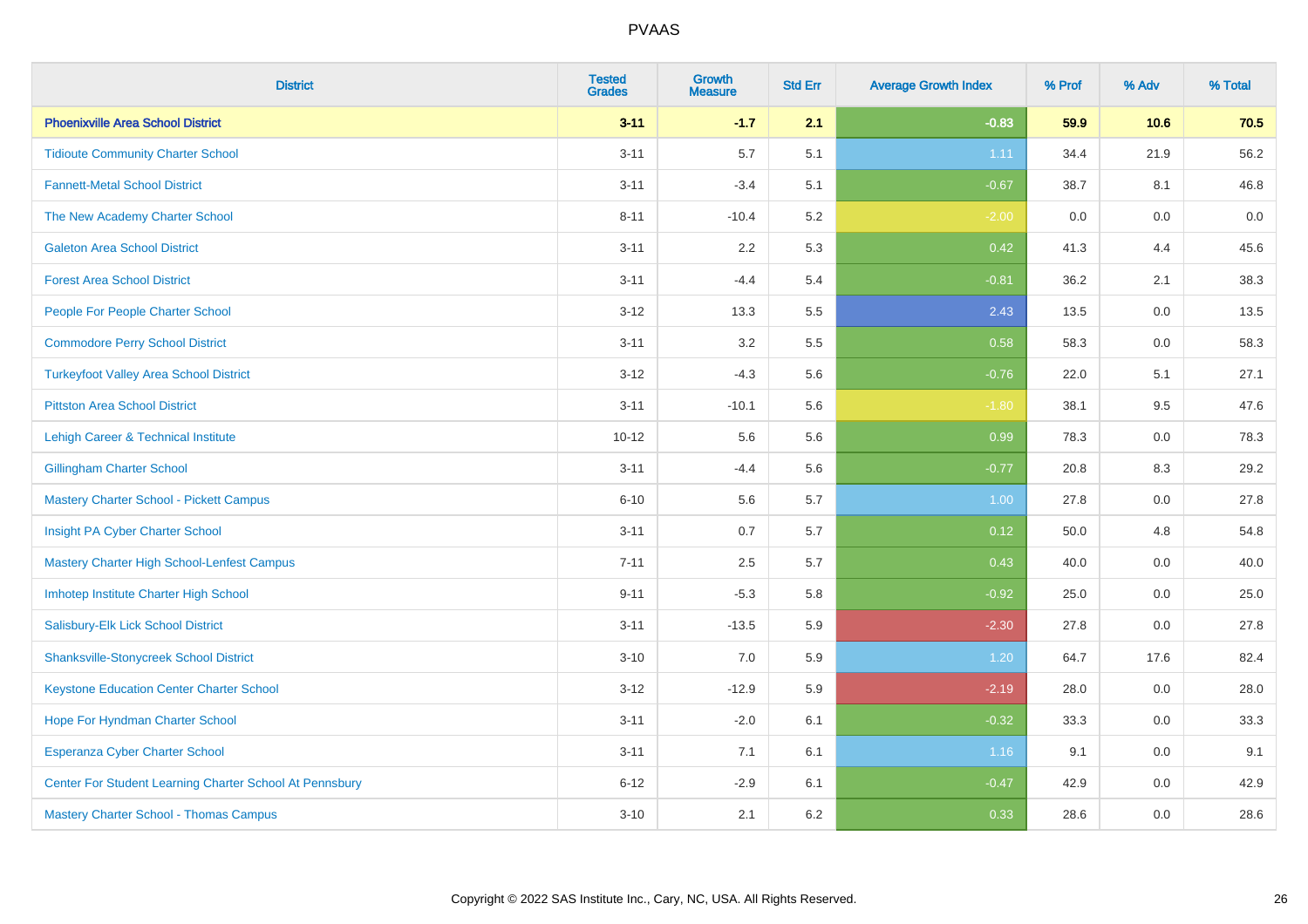| <b>District</b>                                         | <b>Tested</b><br><b>Grades</b> | <b>Growth</b><br><b>Measure</b> | <b>Std Err</b> | <b>Average Growth Index</b> | % Prof | % Adv   | % Total |
|---------------------------------------------------------|--------------------------------|---------------------------------|----------------|-----------------------------|--------|---------|---------|
| <b>Phoenixville Area School District</b>                | $3 - 11$                       | $-1.7$                          | 2.1            | $-0.83$                     | 59.9   | 10.6    | 70.5    |
| <b>Tidioute Community Charter School</b>                | $3 - 11$                       | 5.7                             | 5.1            | 1.11                        | 34.4   | 21.9    | 56.2    |
| <b>Fannett-Metal School District</b>                    | $3 - 11$                       | $-3.4$                          | 5.1            | $-0.67$                     | 38.7   | 8.1     | 46.8    |
| The New Academy Charter School                          | $8 - 11$                       | $-10.4$                         | 5.2            | $-2.00$                     | 0.0    | $0.0\,$ | $0.0\,$ |
| <b>Galeton Area School District</b>                     | $3 - 11$                       | 2.2                             | 5.3            | 0.42                        | 41.3   | 4.4     | 45.6    |
| <b>Forest Area School District</b>                      | $3 - 11$                       | $-4.4$                          | 5.4            | $-0.81$                     | 36.2   | 2.1     | 38.3    |
| People For People Charter School                        | $3 - 12$                       | 13.3                            | 5.5            | 2.43                        | 13.5   | 0.0     | 13.5    |
| <b>Commodore Perry School District</b>                  | $3 - 11$                       | 3.2                             | 5.5            | 0.58                        | 58.3   | 0.0     | 58.3    |
| <b>Turkeyfoot Valley Area School District</b>           | $3-12$                         | $-4.3$                          | 5.6            | $-0.76$                     | 22.0   | 5.1     | 27.1    |
| <b>Pittston Area School District</b>                    | $3 - 11$                       | $-10.1$                         | 5.6            | $-1.80$                     | 38.1   | 9.5     | 47.6    |
| Lehigh Career & Technical Institute                     | $10 - 12$                      | 5.6                             | 5.6            | 0.99                        | 78.3   | 0.0     | 78.3    |
| <b>Gillingham Charter School</b>                        | $3 - 11$                       | $-4.4$                          | 5.6            | $-0.77$                     | 20.8   | 8.3     | 29.2    |
| <b>Mastery Charter School - Pickett Campus</b>          | $6 - 10$                       | 5.6                             | 5.7            | 1.00                        | 27.8   | 0.0     | 27.8    |
| Insight PA Cyber Charter School                         | $3 - 11$                       | 0.7                             | 5.7            | 0.12                        | 50.0   | 4.8     | 54.8    |
| Mastery Charter High School-Lenfest Campus              | $7 - 11$                       | 2.5                             | 5.7            | 0.43                        | 40.0   | 0.0     | 40.0    |
| Imhotep Institute Charter High School                   | $9 - 11$                       | $-5.3$                          | 5.8            | $-0.92$                     | 25.0   | 0.0     | 25.0    |
| Salisbury-Elk Lick School District                      | $3 - 11$                       | $-13.5$                         | 5.9            | $-2.30$                     | 27.8   | 0.0     | 27.8    |
| <b>Shanksville-Stonycreek School District</b>           | $3 - 10$                       | 7.0                             | 5.9            | 1.20                        | 64.7   | 17.6    | 82.4    |
| <b>Keystone Education Center Charter School</b>         | $3-12$                         | $-12.9$                         | 5.9            | $-2.19$                     | 28.0   | 0.0     | 28.0    |
| Hope For Hyndman Charter School                         | $3 - 11$                       | $-2.0$                          | 6.1            | $-0.32$                     | 33.3   | 0.0     | 33.3    |
| Esperanza Cyber Charter School                          | $3 - 11$                       | 7.1                             | 6.1            | 1.16                        | 9.1    | 0.0     | 9.1     |
| Center For Student Learning Charter School At Pennsbury | $6 - 12$                       | $-2.9$                          | 6.1            | $-0.47$                     | 42.9   | 0.0     | 42.9    |
| <b>Mastery Charter School - Thomas Campus</b>           | $3 - 10$                       | 2.1                             | 6.2            | 0.33                        | 28.6   | 0.0     | 28.6    |